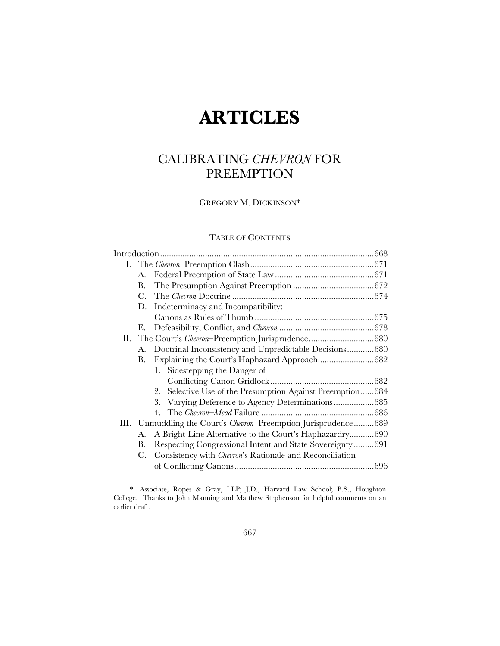# **ARTICLES**

# CALIBRATING *CHEVRON* FOR PREEMPTION

GREGORY M. DICKINSON\*

# TABLE OF CONTENTS

|    | А. |                                                                  |  |
|----|----|------------------------------------------------------------------|--|
|    | В. |                                                                  |  |
|    | C. |                                                                  |  |
|    | D. | Indeterminacy and Incompatibility:                               |  |
|    |    |                                                                  |  |
|    | Е. |                                                                  |  |
| П. |    |                                                                  |  |
|    | A. | Doctrinal Inconsistency and Unpredictable Decisions680           |  |
|    | В. |                                                                  |  |
|    |    | 1. Sidestepping the Danger of                                    |  |
|    |    |                                                                  |  |
|    |    | 2. Selective Use of the Presumption Against Preemption684        |  |
|    |    | 3. Varying Deference to Agency Determinations685                 |  |
|    |    |                                                                  |  |
|    |    | III. Unmuddling the Court's Chevron-Preemption Jurisprudence 689 |  |
|    | A. | A Bright-Line Alternative to the Court's Haphazardry690          |  |
|    | В. | Respecting Congressional Intent and State Sovereignty691         |  |
|    | C. | Consistency with <i>Chevron's</i> Rationale and Reconciliation   |  |
|    |    |                                                                  |  |
|    |    |                                                                  |  |

<sup>\*</sup> Associate, Ropes & Gray, LLP; J.D., Harvard Law School; B.S., Houghton College. Thanks to John Manning and Matthew Stephenson for helpful comments on an earlier draft.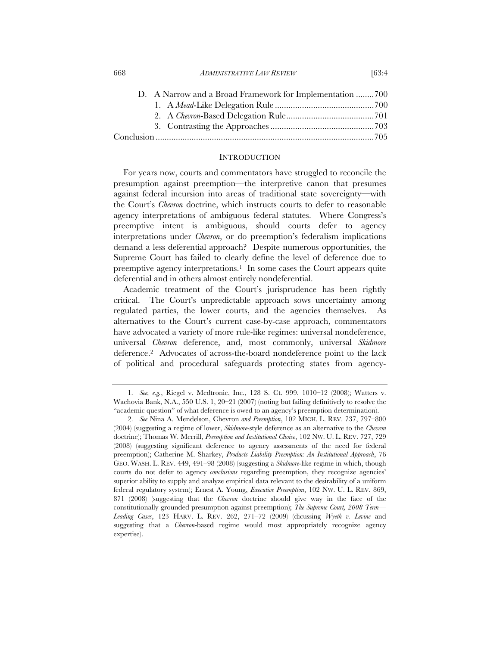| D. A Narrow and a Broad Framework for Implementation 700 |  |
|----------------------------------------------------------|--|
|                                                          |  |
|                                                          |  |
|                                                          |  |
|                                                          |  |

668 *ADMINISTRATIVE LAW REVIEW* [63:4

## **INTRODUCTION**

For years now, courts and commentators have struggled to reconcile the presumption against preemption—the interpretive canon that presumes against federal incursion into areas of traditional state sovereignty—with the Court's *Chevron* doctrine, which instructs courts to defer to reasonable agency interpretations of ambiguous federal statutes. Where Congress's preemptive intent is ambiguous, should courts defer to agency interpretations under *Chevron*, or do preemption's federalism implications demand a less deferential approach? Despite numerous opportunities, the Supreme Court has failed to clearly define the level of deference due to preemptive agency interpretations.<sup>1</sup> In some cases the Court appears quite deferential and in others almost entirely nondeferential.

Academic treatment of the Court's jurisprudence has been rightly critical. The Court's unpredictable approach sows uncertainty among regulated parties, the lower courts, and the agencies themselves. As alternatives to the Court's current case-by-case approach, commentators have advocated a variety of more rule-like regimes: universal nondeference, universal *Chevron* deference, and, most commonly, universal *Skidmore* deference.2 Advocates of across-the-board nondeference point to the lack of political and procedural safeguards protecting states from agency-

<sup>1.</sup> *See, e.g.*, Riegel v. Medtronic, Inc., 128 S. Ct. 999, 1010–12 (2008); Watters v. Wachovia Bank, N.A., 550 U.S. 1, 20–21 (2007) (noting but failing definitively to resolve the "academic question" of what deference is owed to an agency's preemption determination).

<sup>2.</sup> *See* Nina A. Mendelson, Chevron *and Preemption*, 102 MICH. L. REV. 737, 797–800 (2004) (suggesting a regime of lower, *Skidmore*-style deference as an alternative to the *Chevron* doctrine); Thomas W. Merrill, *Preemption and Institutional Choice*, 102 NW. U. L. REV. 727, 729 (2008) (suggesting significant deference to agency assessments of the need for federal preemption); Catherine M. Sharkey, *Products Liability Preemption: An Institutional Approach*, 76 GEO. WASH. L. REV. 449, 491–98 (2008) (suggesting a *Skidmore*-like regime in which, though courts do not defer to agency *conclusions* regarding preemption, they recognize agencies' superior ability to supply and analyze empirical data relevant to the desirability of a uniform federal regulatory system); Ernest A. Young, *Executive Preemption*, 102 NW. U. L. REV. 869, 871 (2008) (suggesting that the *Chevron* doctrine should give way in the face of the constitutionally grounded presumption against preemption); *The Supreme Court, 2008 Term— Leading Cases*, 123 HARV. L. REV. 262, 271–72 (2009) (dicussing *Wyeth v. Levine* and suggesting that a *Chevron*-based regime would most appropriately recognize agency expertise).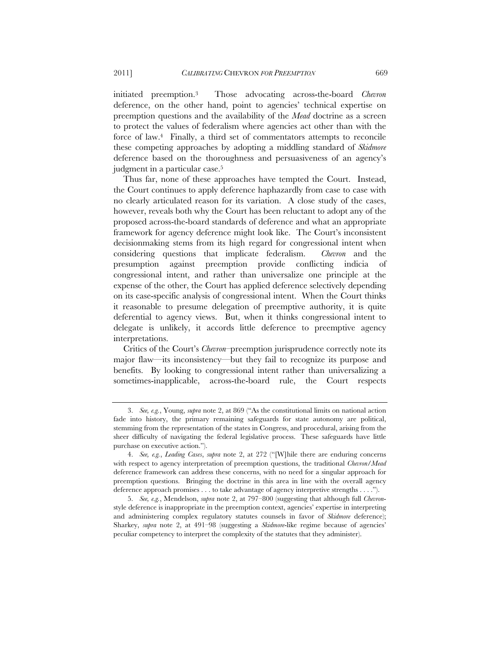initiated preemption.3 Those advocating across-the-board *Chevron* deference, on the other hand, point to agencies' technical expertise on preemption questions and the availability of the *Mead* doctrine as a screen to protect the values of federalism where agencies act other than with the force of law.<sup>4</sup> Finally, a third set of commentators attempts to reconcile these competing approaches by adopting a middling standard of *Skidmore* deference based on the thoroughness and persuasiveness of an agency's judgment in a particular case.<sup>5</sup>

Thus far, none of these approaches have tempted the Court. Instead, the Court continues to apply deference haphazardly from case to case with no clearly articulated reason for its variation. A close study of the cases, however, reveals both why the Court has been reluctant to adopt any of the proposed across-the-board standards of deference and what an appropriate framework for agency deference might look like. The Court's inconsistent decisionmaking stems from its high regard for congressional intent when considering questions that implicate federalism. *Chevron* and the presumption against preemption provide conflicting indicia of congressional intent, and rather than universalize one principle at the expense of the other, the Court has applied deference selectively depending on its case-specific analysis of congressional intent. When the Court thinks it reasonable to presume delegation of preemptive authority, it is quite deferential to agency views. But, when it thinks congressional intent to delegate is unlikely, it accords little deference to preemptive agency interpretations.

Critics of the Court's *Chevron*–preemption jurisprudence correctly note its major flaw—its inconsistency—but they fail to recognize its purpose and benefits. By looking to congressional intent rather than universalizing a sometimes-inapplicable, across-the-board rule, the Court respects

<sup>3.</sup> *See, e.g.*, Young, *supra* note 2, at 869 ("As the constitutional limits on national action fade into history, the primary remaining safeguards for state autonomy are political, stemming from the representation of the states in Congress, and procedural, arising from the sheer difficulty of navigating the federal legislative process. These safeguards have little purchase on executive action.").

<sup>4.</sup> *See, e.g.*, *Leading Cases*, *supra* note 2, at 272 ("[W]hile there are enduring concerns with respect to agency interpretation of preemption questions, the traditional *Chevron*/*Mead* deference framework can address these concerns, with no need for a singular approach for preemption questions. Bringing the doctrine in this area in line with the overall agency deference approach promises . . . to take advantage of agency interpretive strengths . . . .").

<sup>5.</sup> *See, e.g.*, Mendelson, *supra* note 2, at 797–800 (suggesting that although full *Chevron*style deference is inappropriate in the preemption context, agencies' expertise in interpreting and administering complex regulatory statutes counsels in favor of *Skidmore* deference); Sharkey, *supra* note 2, at 491–98 (suggesting a *Skidmore*-like regime because of agencies' peculiar competency to interpret the complexity of the statutes that they administer).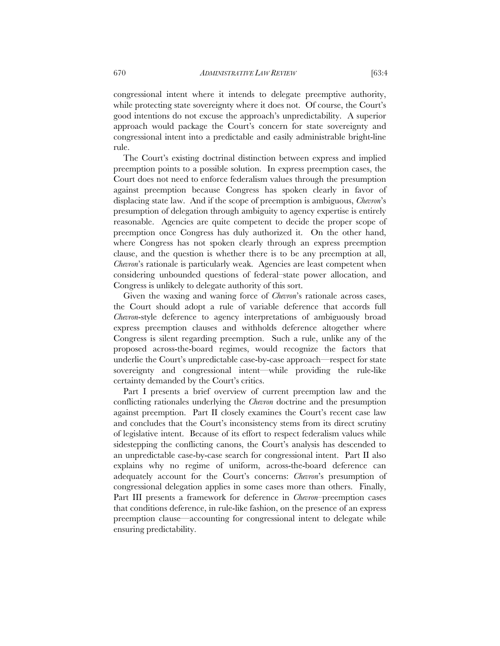congressional intent where it intends to delegate preemptive authority, while protecting state sovereignty where it does not. Of course, the Court's good intentions do not excuse the approach's unpredictability. A superior approach would package the Court's concern for state sovereignty and congressional intent into a predictable and easily administrable bright-line rule.

The Court's existing doctrinal distinction between express and implied preemption points to a possible solution. In express preemption cases, the Court does not need to enforce federalism values through the presumption against preemption because Congress has spoken clearly in favor of displacing state law. And if the scope of preemption is ambiguous, *Chevron*'s presumption of delegation through ambiguity to agency expertise is entirely reasonable. Agencies are quite competent to decide the proper scope of preemption once Congress has duly authorized it. On the other hand, where Congress has not spoken clearly through an express preemption clause, and the question is whether there is to be any preemption at all, *Chevron*'s rationale is particularly weak. Agencies are least competent when considering unbounded questions of federal–state power allocation, and Congress is unlikely to delegate authority of this sort.

Given the waxing and waning force of *Chevron*'s rationale across cases, the Court should adopt a rule of variable deference that accords full *Chevron*-style deference to agency interpretations of ambiguously broad express preemption clauses and withholds deference altogether where Congress is silent regarding preemption. Such a rule, unlike any of the proposed across-the-board regimes, would recognize the factors that underlie the Court's unpredictable case-by-case approach—respect for state sovereignty and congressional intent—while providing the rule-like certainty demanded by the Court's critics.

Part I presents a brief overview of current preemption law and the conflicting rationales underlying the *Chevron* doctrine and the presumption against preemption. Part II closely examines the Court's recent case law and concludes that the Court's inconsistency stems from its direct scrutiny of legislative intent. Because of its effort to respect federalism values while sidestepping the conflicting canons, the Court's analysis has descended to an unpredictable case-by-case search for congressional intent. Part II also explains why no regime of uniform, across-the-board deference can adequately account for the Court's concerns: *Chevron*'s presumption of congressional delegation applies in some cases more than others. Finally, Part III presents a framework for deference in *Chevron*–preemption cases that conditions deference, in rule-like fashion, on the presence of an express preemption clause—accounting for congressional intent to delegate while ensuring predictability.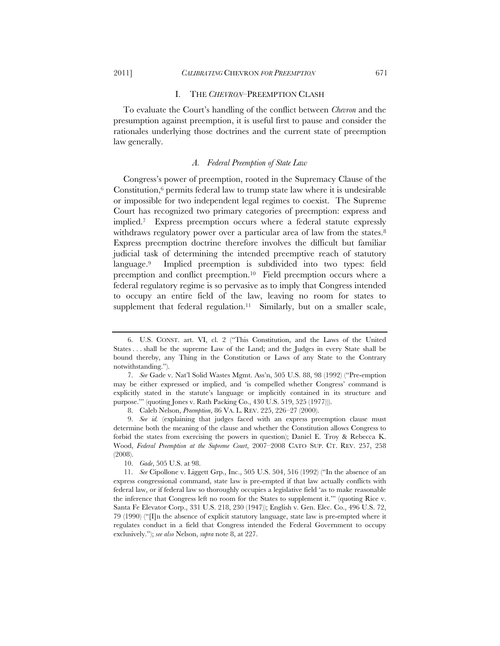# I. THE *CHEVRON*–PREEMPTION CLASH

To evaluate the Court's handling of the conflict between *Chevron* and the presumption against preemption, it is useful first to pause and consider the rationales underlying those doctrines and the current state of preemption law generally.

#### *A. Federal Preemption of State Law*

Congress's power of preemption, rooted in the Supremacy Clause of the Constitution, $6$  permits federal law to trump state law where it is undesirable or impossible for two independent legal regimes to coexist. The Supreme Court has recognized two primary categories of preemption: express and implied.7 Express preemption occurs where a federal statute expressly withdraws regulatory power over a particular area of law from the states.<sup>8</sup> Express preemption doctrine therefore involves the difficult but familiar judicial task of determining the intended preemptive reach of statutory language.9 Implied preemption is subdivided into two types: field preemption and conflict preemption.10 Field preemption occurs where a federal regulatory regime is so pervasive as to imply that Congress intended to occupy an entire field of the law, leaving no room for states to supplement that federal regulation.<sup>11</sup> Similarly, but on a smaller scale,

<sup>6.</sup> U.S. CONST. art. VI, cl. 2 ("This Constitution, and the Laws of the United States . . . shall be the supreme Law of the Land; and the Judges in every State shall be bound thereby, any Thing in the Constitution or Laws of any State to the Contrary notwithstanding.").

<sup>7.</sup> *See* Gade v. Nat'l Solid Wastes Mgmt. Ass'n, 505 U.S. 88, 98 (1992) ("Pre-emption may be either expressed or implied, and 'is compelled whether Congress' command is explicitly stated in the statute's language or implicitly contained in its structure and purpose.'" (quoting Jones v. Rath Packing Co., 430 U.S. 519, 525 (1977))).

<sup>8.</sup> Caleb Nelson, *Preemption*, 86 VA. L. REV. 225, 226–27 (2000).

<sup>9.</sup> *See id.* (explaining that judges faced with an express preemption clause must determine both the meaning of the clause and whether the Constitution allows Congress to forbid the states from exercising the powers in question); Daniel E. Troy & Rebecca K. Wood, *Federal Preemption at the Supreme Court*, 2007–2008 CATO SUP. CT. REV. 257, 258 (2008).

<sup>10.</sup> *Gade*, 505 U.S. at 98.

<sup>11.</sup> *See* Cipollone v. Liggett Grp., Inc., 505 U.S. 504, 516 (1992) ("In the absence of an express congressional command, state law is pre-empted if that law actually conflicts with federal law, or if federal law so thoroughly occupies a legislative field 'as to make reasonable the inference that Congress left no room for the States to supplement it.'" (quoting Rice v. Santa Fe Elevator Corp., 331 U.S. 218, 230 (1947)); English v. Gen. Elec. Co., 496 U.S. 72, 79 (1990) ("[I]n the absence of explicit statutory language, state law is pre-empted where it regulates conduct in a field that Congress intended the Federal Government to occupy exclusively."); *see also* Nelson, *supra* note 8, at 227.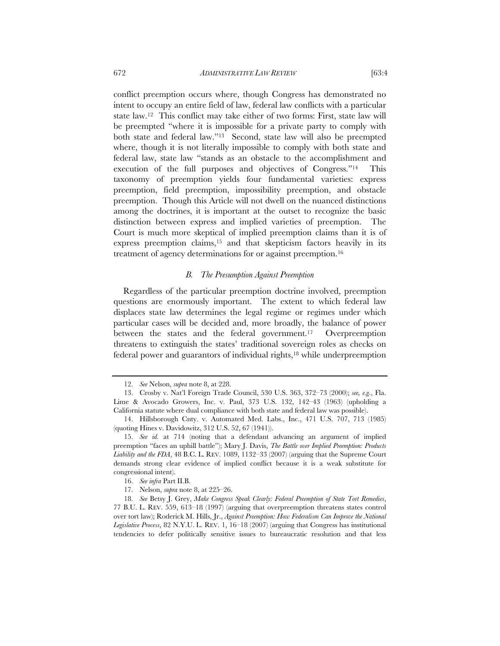conflict preemption occurs where, though Congress has demonstrated no intent to occupy an entire field of law, federal law conflicts with a particular state law.12 This conflict may take either of two forms: First, state law will be preempted "where it is impossible for a private party to comply with both state and federal law."13 Second, state law will also be preempted where, though it is not literally impossible to comply with both state and federal law, state law "stands as an obstacle to the accomplishment and execution of the full purposes and objectives of Congress."14 This taxonomy of preemption yields four fundamental varieties: express preemption, field preemption, impossibility preemption, and obstacle preemption. Though this Article will not dwell on the nuanced distinctions among the doctrines, it is important at the outset to recognize the basic distinction between express and implied varieties of preemption. The Court is much more skeptical of implied preemption claims than it is of express preemption claims,15 and that skepticism factors heavily in its treatment of agency determinations for or against preemption.16

#### *B. The Presumption Against Preemption*

Regardless of the particular preemption doctrine involved, preemption questions are enormously important. The extent to which federal law displaces state law determines the legal regime or regimes under which particular cases will be decided and, more broadly, the balance of power between the states and the federal government.17 Overpreemption threatens to extinguish the states' traditional sovereign roles as checks on federal power and guarantors of individual rights,18 while underpreemption

<sup>12.</sup> *See* Nelson, *supra* note 8, at 228.

<sup>13.</sup> Crosby v. Nat'l Foreign Trade Council, 530 U.S. 363, 372–73 (2000); *see, e.g.*, Fla. Lime & Avocado Growers, Inc. v. Paul, 373 U.S. 132, 142–43 (1963) (upholding a California statute where dual compliance with both state and federal law was possible).

<sup>14.</sup> Hillsborough Cnty. v. Automated Med. Labs., Inc., 471 U.S. 707, 713 (1985) (quoting Hines v. Davidowitz, 312 U.S. 52, 67 (1941)).

<sup>15.</sup> *See id.* at 714 (noting that a defendant advancing an argument of implied preemption "faces an uphill battle"); Mary J. Davis, *The Battle over Implied Preemption: Products Liability and the FDA*, 48 B.C. L. REV. 1089, 1132–33 (2007) (arguing that the Supreme Court demands strong clear evidence of implied conflict because it is a weak substitute for congressional intent).

<sup>16.</sup> *See infra* Part II.B.

<sup>17.</sup> Nelson, *supra* note 8, at 225–26.

<sup>18.</sup> *See* Betsy J. Grey, *Make Congress Speak Clearly: Federal Preemption of State Tort Remedies*, 77 B.U. L. REV. 559, 613–18 (1997) (arguing that overpreemption threatens states control over tort law); Roderick M. Hills, Jr., *Against Preemption: How Federalism Can Improve the National Legislative Process*, 82 N.Y.U. L. REV. 1, 16–18 (2007) (arguing that Congress has institutional tendencies to defer politically sensitive issues to bureaucratic resolution and that less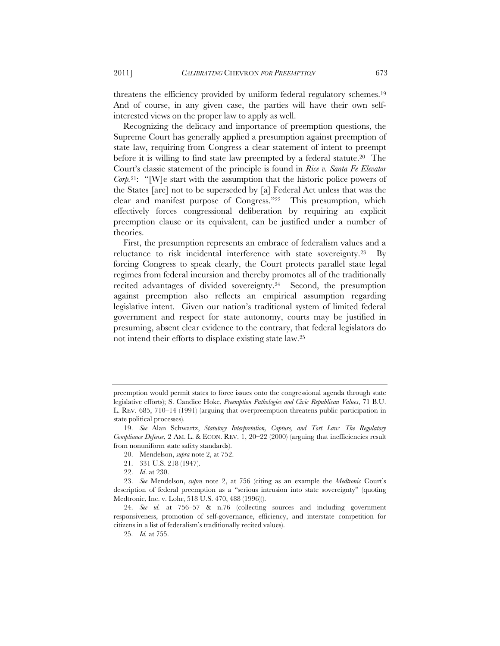threatens the efficiency provided by uniform federal regulatory schemes.<sup>19</sup> And of course, in any given case, the parties will have their own selfinterested views on the proper law to apply as well.

Recognizing the delicacy and importance of preemption questions, the Supreme Court has generally applied a presumption against preemption of state law, requiring from Congress a clear statement of intent to preempt before it is willing to find state law preempted by a federal statute.<sup>20</sup> The Court's classic statement of the principle is found in *Rice v. Santa Fe Elevator Corp.*<sup>21</sup>: "[W]e start with the assumption that the historic police powers of the States [are] not to be superseded by [a] Federal Act unless that was the clear and manifest purpose of Congress."22 This presumption, which effectively forces congressional deliberation by requiring an explicit preemption clause or its equivalent, can be justified under a number of theories.

First, the presumption represents an embrace of federalism values and a reluctance to risk incidental interference with state sovereignty.23 By forcing Congress to speak clearly, the Court protects parallel state legal regimes from federal incursion and thereby promotes all of the traditionally recited advantages of divided sovereignty.24 Second, the presumption against preemption also reflects an empirical assumption regarding legislative intent. Given our nation's traditional system of limited federal government and respect for state autonomy, courts may be justified in presuming, absent clear evidence to the contrary, that federal legislators do not intend their efforts to displace existing state law.25

preemption would permit states to force issues onto the congressional agenda through state legislative efforts); S. Candice Hoke, *Preemption Pathologies and Civic Republican Values*, 71 B.U. L. REV. 685, 710–14 (1991) (arguing that overpreemption threatens public participation in state political processes).

<sup>19.</sup> *See* Alan Schwartz, *Statutory Interpretation, Capture, and Tort Law: The Regulatory Compliance Defense*, 2 AM. L. & ECON. REV. 1, 20–22 (2000) (arguing that inefficiencies result from nonuniform state safety standards).

<sup>20.</sup> Mendelson, *supra* note 2, at 752.

<sup>21. 331</sup> U.S. 218 (1947).

<sup>22.</sup> *Id*. at 230.

<sup>23.</sup> *See* Mendelson, *supra* note 2, at 756 (citing as an example the *Medtronic* Court's description of federal preemption as a "serious intrusion into state sovereignty" (quoting Medtronic, Inc. v. Lohr, 518 U.S. 470, 488 (1996))).

<sup>24.</sup> *See id.* at 756–57 & n.76 (collecting sources and including government responsiveness, promotion of self-governance, efficiency, and interstate competition for citizens in a list of federalism's traditionally recited values).

<sup>25.</sup> *Id.* at 755.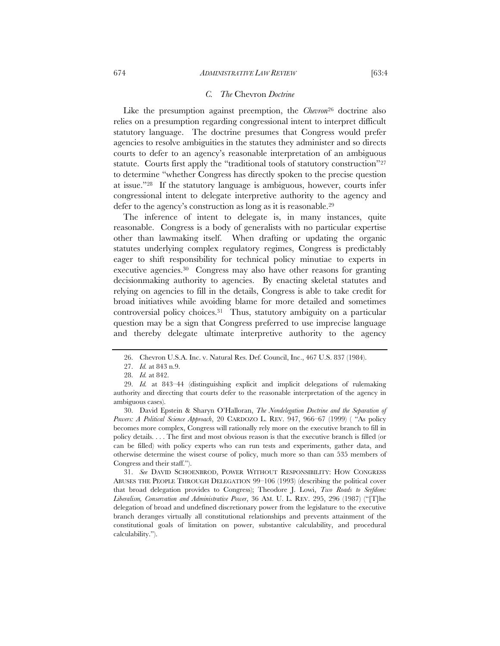Like the presumption against preemption, the *Chevron*26 doctrine also relies on a presumption regarding congressional intent to interpret difficult statutory language. The doctrine presumes that Congress would prefer agencies to resolve ambiguities in the statutes they administer and so directs courts to defer to an agency's reasonable interpretation of an ambiguous statute. Courts first apply the "traditional tools of statutory construction"<sup>27</sup> to determine "whether Congress has directly spoken to the precise question at issue."28 If the statutory language is ambiguous, however, courts infer congressional intent to delegate interpretive authority to the agency and defer to the agency's construction as long as it is reasonable.29

The inference of intent to delegate is, in many instances, quite reasonable. Congress is a body of generalists with no particular expertise other than lawmaking itself. When drafting or updating the organic statutes underlying complex regulatory regimes, Congress is predictably eager to shift responsibility for technical policy minutiae to experts in executive agencies.30 Congress may also have other reasons for granting decisionmaking authority to agencies. By enacting skeletal statutes and relying on agencies to fill in the details, Congress is able to take credit for broad initiatives while avoiding blame for more detailed and sometimes controversial policy choices.31 Thus, statutory ambiguity on a particular question may be a sign that Congress preferred to use imprecise language and thereby delegate ultimate interpretive authority to the agency

30. David Epstein & Sharyn O'Halloran, *The Nondelegation Doctrine and the Separation of Powers: A Political Science Approach*, 20 CARDOZO L. REV. 947, 966–67 (1999) ( "As policy becomes more complex, Congress will rationally rely more on the executive branch to fill in policy details. . . . The first and most obvious reason is that the executive branch is filled (or can be filled) with policy experts who can run tests and experiments, gather data, and otherwise determine the wisest course of policy, much more so than can 535 members of Congress and their staff.").

31. *See* DAVID SCHOENBROD, POWER WITHOUT RESPONSIBILITY: HOW CONGRESS ABUSES THE PEOPLE THROUGH DELEGATION 99–106 (1993) (describing the political cover that broad delegation provides to Congress); Theodore J. Lowi, *Two Roads to Serfdom: Liberalism, Conservation and Administrative Power*, 36 AM. U. L. REV. 295, 296 (1987) ("[T]he delegation of broad and undefined discretionary power from the legislature to the executive branch deranges virtually all constitutional relationships and prevents attainment of the constitutional goals of limitation on power, substantive calculability, and procedural calculability.").

<sup>26.</sup> Chevron U.S.A. Inc. v. Natural Res. Def. Council, Inc., 467 U.S. 837 (1984).

<sup>27.</sup> *Id.* at 843 n.9.

<sup>28.</sup> *Id.* at 842.

<sup>29.</sup> *Id.* at 843–44 (distinguishing explicit and implicit delegations of rulemaking authority and directing that courts defer to the reasonable interpretation of the agency in ambiguous cases).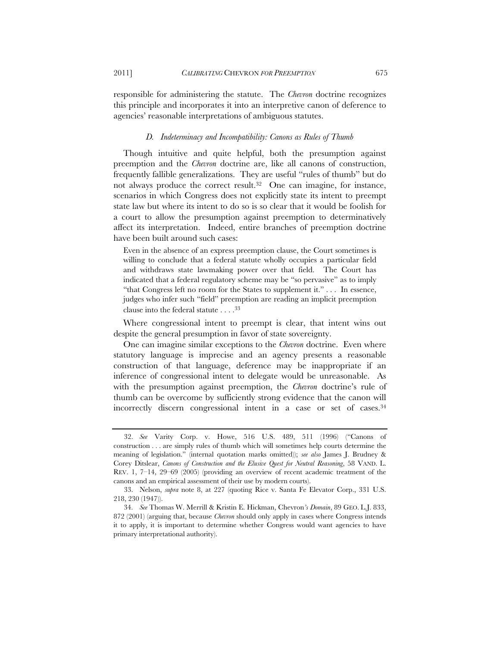responsible for administering the statute. The *Chevron* doctrine recognizes this principle and incorporates it into an interpretive canon of deference to agencies' reasonable interpretations of ambiguous statutes.

#### *D. Indeterminacy and Incompatibility: Canons as Rules of Thumb*

Though intuitive and quite helpful, both the presumption against preemption and the *Chevron* doctrine are, like all canons of construction, frequently fallible generalizations. They are useful "rules of thumb" but do not always produce the correct result.32 One can imagine, for instance, scenarios in which Congress does not explicitly state its intent to preempt state law but where its intent to do so is so clear that it would be foolish for a court to allow the presumption against preemption to determinatively affect its interpretation. Indeed, entire branches of preemption doctrine have been built around such cases:

Even in the absence of an express preemption clause, the Court sometimes is willing to conclude that a federal statute wholly occupies a particular field and withdraws state lawmaking power over that field. The Court has indicated that a federal regulatory scheme may be "so pervasive" as to imply "that Congress left no room for the States to supplement it." . . . In essence, judges who infer such "field" preemption are reading an implicit preemption clause into the federal statute . . . .33

Where congressional intent to preempt is clear, that intent wins out despite the general presumption in favor of state sovereignty.

One can imagine similar exceptions to the *Chevron* doctrine. Even where statutory language is imprecise and an agency presents a reasonable construction of that language, deference may be inappropriate if an inference of congressional intent to delegate would be unreasonable. As with the presumption against preemption, the *Chevron* doctrine's rule of thumb can be overcome by sufficiently strong evidence that the canon will incorrectly discern congressional intent in a case or set of cases.34

<sup>32.</sup> *See* Varity Corp. v. Howe, 516 U.S. 489, 511 (1996) ("Canons of construction . . . are simply rules of thumb which will sometimes help courts determine the meaning of legislation." (internal quotation marks omitted)); *see also* James J. Brudney & Corey Ditslear, *Canons of Construction and the Elusive Quest for Neutral Reasoning*, 58 VAND. L. REV. 1, 7–14, 29–69 (2005) (providing an overview of recent academic treatment of the canons and an empirical assessment of their use by modern courts).

<sup>33.</sup> Nelson, *supra* note 8, at 227 (quoting Rice v. Santa Fe Elevator Corp., 331 U.S. 218, 230 (1947)).

<sup>34.</sup> *See* Thomas W. Merrill & Kristin E. Hickman, Chevron*'s Domain*, 89 GEO. L.J. 833, 872 (2001) (arguing that, because *Chevron* should only apply in cases where Congress intends it to apply, it is important to determine whether Congress would want agencies to have primary interpretational authority).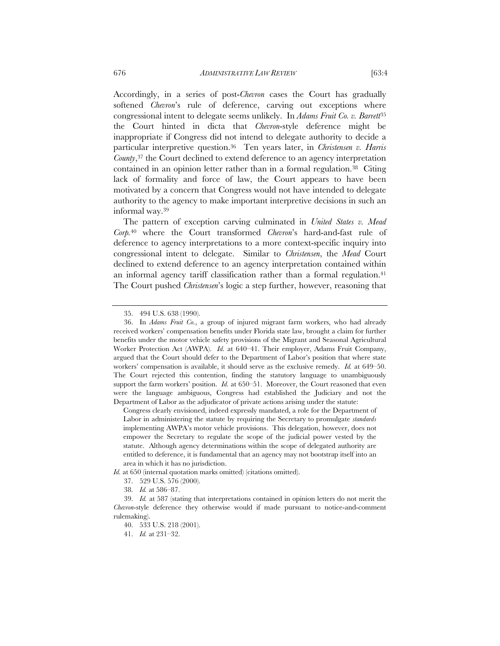Accordingly, in a series of post-*Chevron* cases the Court has gradually softened *Chevron*'s rule of deference, carving out exceptions where congressional intent to delegate seems unlikely. In *Adams Fruit Co. v. Barrett*<sup>35</sup> the Court hinted in dicta that *Chevron*-style deference might be inappropriate if Congress did not intend to delegate authority to decide a particular interpretive question.36 Ten years later, in *Christensen v. Harris County*,<sup>37</sup> the Court declined to extend deference to an agency interpretation contained in an opinion letter rather than in a formal regulation.38 Citing lack of formality and force of law, the Court appears to have been motivated by a concern that Congress would not have intended to delegate authority to the agency to make important interpretive decisions in such an informal way.39

The pattern of exception carving culminated in *United States v. Mead Corp.*40 where the Court transformed *Chevron*'s hard-and-fast rule of deference to agency interpretations to a more context-specific inquiry into congressional intent to delegate. Similar to *Christensen*, the *Mead* Court declined to extend deference to an agency interpretation contained within an informal agency tariff classification rather than a formal regulation.<sup>41</sup> The Court pushed *Christensen*'s logic a step further, however, reasoning that

Congress clearly envisioned, indeed expressly mandated, a role for the Department of Labor in administering the statute by requiring the Secretary to promulgate *standards* implementing AWPA's motor vehicle provisions. This delegation, however, does not empower the Secretary to regulate the scope of the judicial power vested by the statute. Although agency determinations within the scope of delegated authority are entitled to deference, it is fundamental that an agency may not bootstrap itself into an area in which it has no jurisdiction.

*Id.* at 650 (internal quotation marks omitted) (citations omitted).

<sup>35. 494</sup> U.S. 638 (1990).

<sup>36.</sup> In *Adams Fruit Co.*, a group of injured migrant farm workers, who had already received workers' compensation benefits under Florida state law, brought a claim for further benefits under the motor vehicle safety provisions of the Migrant and Seasonal Agricultural Worker Protection Act (AWPA). *Id.* at 640–41. Their employer, Adams Fruit Company, argued that the Court should defer to the Department of Labor's position that where state workers' compensation is available, it should serve as the exclusive remedy. *Id.* at 649–50. The Court rejected this contention, finding the statutory language to unambiguously support the farm workers' position. *Id.* at 650–51. Moreover, the Court reasoned that even were the language ambiguous, Congress had established the Judiciary and not the Department of Labor as the adjudicator of private actions arising under the statute:

<sup>37. 529</sup> U.S. 576 (2000).

<sup>38.</sup> *Id.* at 586–87.

<sup>39.</sup> *Id.* at 587 (stating that interpretations contained in opinion letters do not merit the *Chevron*-style deference they otherwise would if made pursuant to notice-and-comment rulemaking).

<sup>40. 533</sup> U.S. 218 (2001).

<sup>41.</sup> *Id.* at 231–32.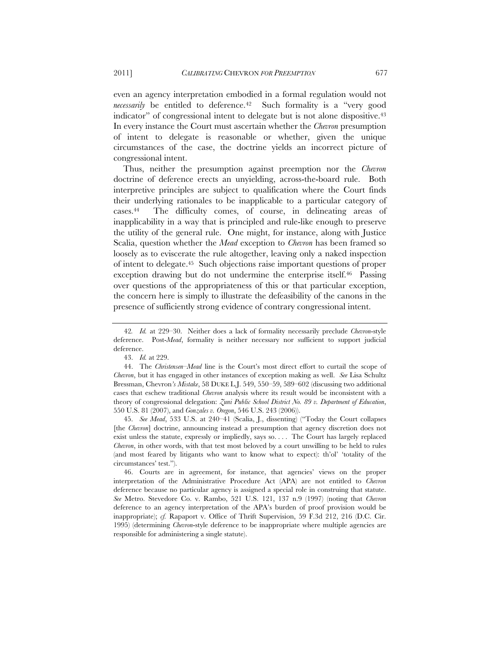even an agency interpretation embodied in a formal regulation would not *necessarily* be entitled to deference.<sup>42</sup> Such formality is a "very good indicator" of congressional intent to delegate but is not alone dispositive.<sup>43</sup> In every instance the Court must ascertain whether the *Chevron* presumption of intent to delegate is reasonable or whether, given the unique circumstances of the case, the doctrine yields an incorrect picture of congressional intent.

Thus, neither the presumption against preemption nor the *Chevron* doctrine of deference erects an unyielding, across-the-board rule. Both interpretive principles are subject to qualification where the Court finds their underlying rationales to be inapplicable to a particular category of cases.44 The difficulty comes, of course, in delineating areas of inapplicability in a way that is principled and rule-like enough to preserve the utility of the general rule. One might, for instance, along with Justice Scalia, question whether the *Mead* exception to *Chevron* has been framed so loosely as to eviscerate the rule altogether, leaving only a naked inspection of intent to delegate.45 Such objections raise important questions of proper exception drawing but do not undermine the enterprise itself.<sup>46</sup> Passing over questions of the appropriateness of this or that particular exception, the concern here is simply to illustrate the defeasibility of the canons in the presence of sufficiently strong evidence of contrary congressional intent.

45. *See Mead*, 533 U.S. at 240–41 (Scalia, J., dissenting) ("Today the Court collapses [the *Chevron*] doctrine, announcing instead a presumption that agency discretion does not exist unless the statute, expressly or impliedly, says so. . . . The Court has largely replaced *Chevron*, in other words, with that test most beloved by a court unwilling to be held to rules (and most feared by litigants who want to know what to expect): th'ol' 'totality of the circumstances' test.").

46. Courts are in agreement, for instance, that agencies' views on the proper interpretation of the Administrative Procedure Act (APA) are not entitled to *Chevron* deference because no particular agency is assigned a special role in construing that statute. *See* Metro. Stevedore Co. v. Rambo, 521 U.S. 121, 137 n.9 (1997) (noting that *Chevron* deference to an agency interpretation of the APA's burden of proof provision would be inappropriate); *cf.* Rapaport v. Office of Thrift Supervision, 59 F.3d 212, 216 (D.C. Cir. 1995) (determining *Chevron*-style deference to be inappropriate where multiple agencies are responsible for administering a single statute).

<sup>42</sup>*. Id.* at 229–30. Neither does a lack of formality necessarily preclude *Chevron*-style deference. Post-*Mead*, formality is neither necessary nor sufficient to support judicial deference.

<sup>43.</sup> *Id.* at 229.

<sup>44.</sup> The *Christensen*–*Mead* line is the Court's most direct effort to curtail the scope of *Chevron*, but it has engaged in other instances of exception making as well. *See* Lisa Schultz Bressman, Chevron*'s Mistake*, 58 DUKE L.J. 549, 550–59, 589–602 (discussing two additional cases that eschew traditional *Chevron* analysis where its result would be inconsistent with a theory of congressional delegation: *Zuni Public School District No. 89 v. Department of Education*, 550 U.S. 81 (2007), and *Gonzales v. Oregon*, 546 U.S. 243 (2006)).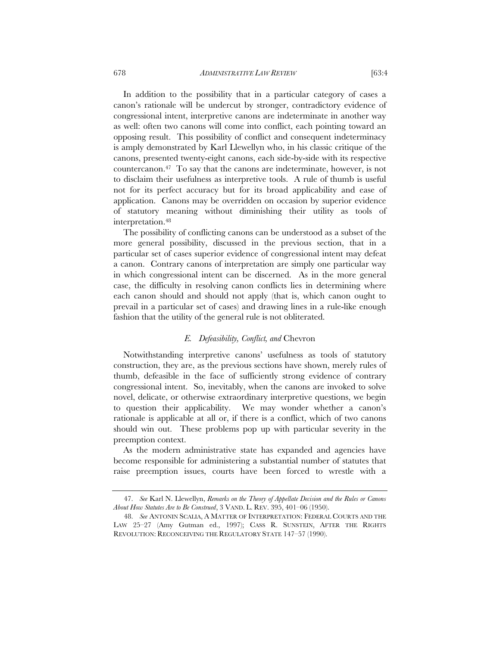In addition to the possibility that in a particular category of cases a canon's rationale will be undercut by stronger, contradictory evidence of congressional intent, interpretive canons are indeterminate in another way as well: often two canons will come into conflict, each pointing toward an opposing result. This possibility of conflict and consequent indeterminacy is amply demonstrated by Karl Llewellyn who, in his classic critique of the canons, presented twenty-eight canons, each side-by-side with its respective countercanon.47 To say that the canons are indeterminate, however, is not to disclaim their usefulness as interpretive tools. A rule of thumb is useful not for its perfect accuracy but for its broad applicability and ease of application. Canons may be overridden on occasion by superior evidence of statutory meaning without diminishing their utility as tools of interpretation.48

The possibility of conflicting canons can be understood as a subset of the more general possibility, discussed in the previous section, that in a particular set of cases superior evidence of congressional intent may defeat a canon. Contrary canons of interpretation are simply one particular way in which congressional intent can be discerned. As in the more general case, the difficulty in resolving canon conflicts lies in determining where each canon should and should not apply (that is, which canon ought to prevail in a particular set of cases) and drawing lines in a rule-like enough fashion that the utility of the general rule is not obliterated.

#### *E. Defeasibility, Conflict, and* Chevron

Notwithstanding interpretive canons' usefulness as tools of statutory construction, they are, as the previous sections have shown, merely rules of thumb, defeasible in the face of sufficiently strong evidence of contrary congressional intent. So, inevitably, when the canons are invoked to solve novel, delicate, or otherwise extraordinary interpretive questions, we begin to question their applicability. We may wonder whether a canon's rationale is applicable at all or, if there is a conflict, which of two canons should win out. These problems pop up with particular severity in the preemption context.

As the modern administrative state has expanded and agencies have become responsible for administering a substantial number of statutes that raise preemption issues, courts have been forced to wrestle with a

<sup>47.</sup> *See* Karl N. Llewellyn, *Remarks on the Theory of Appellate Decision and the Rules or Canons About How Statutes Are to Be Construed*, 3 VAND. L. REV. 395, 401–06 (1950).

<sup>48.</sup> *See* ANTONIN SCALIA, A MATTER OF INTERPRETATION: FEDERAL COURTS AND THE LAW 25–27 (Amy Gutman ed., 1997); CASS R. SUNSTEIN, AFTER THE RIGHTS REVOLUTION: RECONCEIVING THE REGULATORY STATE 147–57 (1990).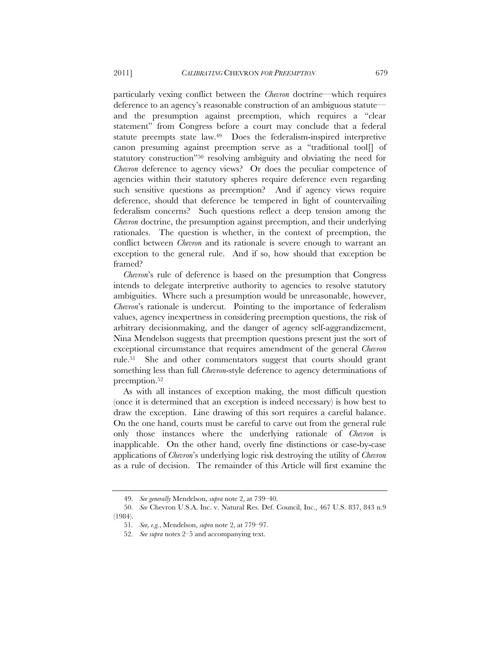particularly vexing conflict between the *Chevron* doctrine—which requires deference to an agency's reasonable construction of an ambiguous statute and the presumption against preemption, which requires a "clear statement" from Congress before a court may conclude that a federal statute preempts state law.49 Does the federalism-inspired interpretive canon presuming against preemption serve as a "traditional tool[] of statutory construction"50 resolving ambiguity and obviating the need for *Chevron* deference to agency views? Or does the peculiar competence of agencies within their statutory spheres require deference even regarding such sensitive questions as preemption? And if agency views require deference, should that deference be tempered in light of countervailing federalism concerns? Such questions reflect a deep tension among the *Chevron* doctrine, the presumption against preemption, and their underlying rationales. The question is whether, in the context of preemption, the conflict between *Chevron* and its rationale is severe enough to warrant an exception to the general rule. And if so, how should that exception be framed?

*Chevron*'s rule of deference is based on the presumption that Congress intends to delegate interpretive authority to agencies to resolve statutory ambiguities. Where such a presumption would be unreasonable, however, *Chevron*'s rationale is undercut. Pointing to the importance of federalism values, agency inexpertness in considering preemption questions, the risk of arbitrary decisionmaking, and the danger of agency self-aggrandizement, Nina Mendelson suggests that preemption questions present just the sort of exceptional circumstance that requires amendment of the general *Chevron*  rule.51 She and other commentators suggest that courts should grant something less than full *Chevron*-style deference to agency determinations of preemption.<sup>52</sup>

As with all instances of exception making, the most difficult question (once it is determined that an exception is indeed necessary) is how best to draw the exception. Line drawing of this sort requires a careful balance. On the one hand, courts must be careful to carve out from the general rule only those instances where the underlying rationale of *Chevron* is inapplicable. On the other hand, overly fine distinctions or case-by-case applications of *Chevron*'s underlying logic risk destroying the utility of *Chevron* as a rule of decision. The remainder of this Article will first examine the

<sup>49.</sup> *See generally* Mendelson, *supra* note 2, at 739–40.

<sup>50.</sup> *See* Chevron U.S.A. Inc. v. Natural Res. Def. Council, Inc., 467 U.S. 837, 843 n.9 (1984).

<sup>51.</sup> *See, e.g.*, Mendelson, *supra* note 2, at 779–97.

<sup>52.</sup> *See supra* notes 2–5 and accompanying text.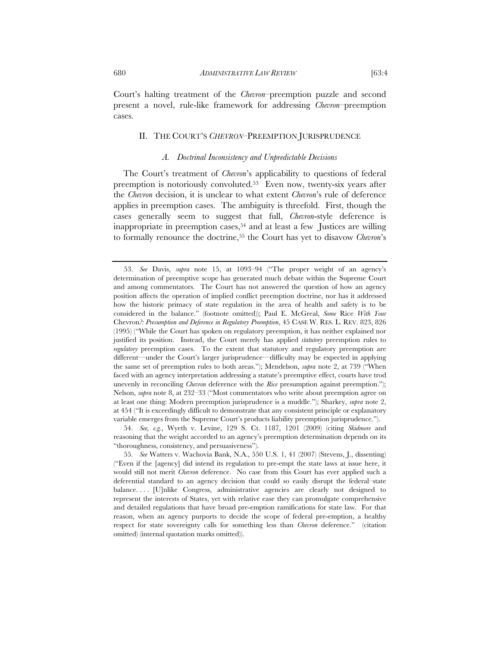Court's halting treatment of the *Chevron*–preemption puzzle and second present a novel, rule-like framework for addressing *Chevron*–preemption cases.

#### II. THE COURT'S *CHEVRON*–PREEMPTION JURISPRUDENCE

#### *A. Doctrinal Inconsistency and Unpredictable Decisions*

The Court's treatment of *Chevron*'s applicability to questions of federal preemption is notoriously convoluted.53 Even now, twenty-six years after the *Chevron* decision, it is unclear to what extent *Chevron*'s rule of deference applies in preemption cases. The ambiguity is threefold. First, though the cases generally seem to suggest that full, *Chevron*-style deference is inappropriate in preemption cases,  $54$  and at least a few Justices are willing to formally renounce the doctrine,55 the Court has yet to disavow *Chevron*'s

54. *See, e.g.*, Wyeth v. Levine, 129 S. Ct. 1187, 1201 (2009) (citing *Skidmore* and reasoning that the weight accorded to an agency's preemption determination depends on its "thoroughness, consistency, and persuasiveness").

<sup>53.</sup> *See* Davis, *supra* note 15, at 1093–94 ("The proper weight of an agency's determination of preemptive scope has generated much debate within the Supreme Court and among commentators. The Court has not answered the question of how an agency position affects the operation of implied conflict preemption doctrine, nor has it addressed how the historic primacy of state regulation in the area of health and safety is to be considered in the balance." (footnote omitted)); Paul E. McGreal, *Some* Rice *With Your*  Chevron*?: Presumption and Deference in Regulatory Preemption*, 45 CASE W. RES. L. REV. 823, 826 (1995) ("While the Court has spoken on regulatory preemption, it has neither explained nor justified its position. Instead, the Court merely has applied *statutory* preemption rules to *regulatory* preemption cases. To the extent that statutory and regulatory preemption are different—under the Court's larger jurisprudence—difficulty may be expected in applying the same set of preemption rules to both areas."); Mendelson, *supra* note 2, at 739 ("When faced with an agency interpretation addressing a statute's preemptive effect, courts have trod unevenly in reconciling *Chevron* deference with the *Rice* presumption against preemption."); Nelson, *supra* note 8, at 232–33 ("Most commentators who write about preemption agree on at least one thing: Modern preemption jurisprudence is a muddle."); Sharkey, *supra* note 2, at 454 ("It is exceedingly difficult to demonstrate that any consistent principle or explanatory variable emerges from the Supreme Court's products liability preemption jurisprudence.").

<sup>55.</sup> *See* Watters v. Wachovia Bank, N.A., 550 U.S. 1, 41 (2007) (Stevens, J., dissenting) ("Even if the [agency] did intend its regulation to pre-empt the state laws at issue here, it would still not merit *Chevron* deference. No case from this Court has ever applied such a deferential standard to an agency decision that could so easily disrupt the federal–state balance. . . . [U]nlike Congress, administrative agencies are clearly not designed to represent the interests of States, yet with relative ease they can promulgate comprehensive and detailed regulations that have broad pre-emption ramifications for state law. For that reason, when an agency purports to decide the scope of federal pre-emption, a healthy respect for state sovereignty calls for something less than *Chevron* deference." (citation omitted) (internal quotation marks omitted)).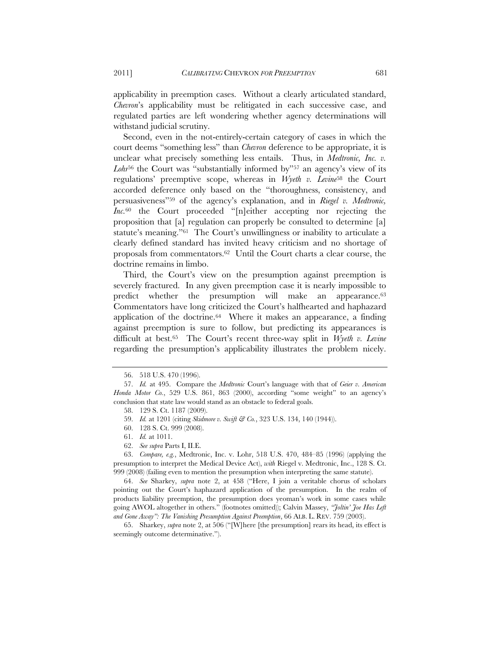applicability in preemption cases. Without a clearly articulated standard, *Chevron*'s applicability must be relitigated in each successive case, and regulated parties are left wondering whether agency determinations will withstand judicial scrutiny.

Second, even in the not-entirely-certain category of cases in which the court deems "something less" than *Chevron* deference to be appropriate, it is unclear what precisely something less entails. Thus, in *Medtronic, Inc. v.*  Lohr<sup>56</sup> the Court was "substantially informed by"<sup>57</sup> an agency's view of its regulations' preemptive scope, whereas in *Wyeth v. Levine*58 the Court accorded deference only based on the "thoroughness, consistency, and persuasiveness"59 of the agency's explanation, and in *Riegel v. Medtronic, Inc.*60 the Court proceeded "[n]either accepting nor rejecting the proposition that [a] regulation can properly be consulted to determine [a] statute's meaning."61 The Court's unwillingness or inability to articulate a clearly defined standard has invited heavy criticism and no shortage of proposals from commentators.62 Until the Court charts a clear course, the doctrine remains in limbo.

Third, the Court's view on the presumption against preemption is severely fractured. In any given preemption case it is nearly impossible to predict whether the presumption will make an appearance.<sup>63</sup> Commentators have long criticized the Court's halfhearted and haphazard application of the doctrine. $64$  Where it makes an appearance, a finding against preemption is sure to follow, but predicting its appearances is difficult at best.65 The Court's recent three-way split in *Wyeth v. Levine* regarding the presumption's applicability illustrates the problem nicely.

63. *Compare, e.g.*, Medtronic, Inc. v. Lohr, 518 U.S. 470, 484–85 (1996) (applying the presumption to interpret the Medical Device Act), *with* Riegel v. Medtronic, Inc., 128 S. Ct. 999 (2008) (failing even to mention the presumption when interpreting the same statute).

64. *See* Sharkey, *supra* note 2, at 458 ("Here, I join a veritable chorus of scholars pointing out the Court's haphazard application of the presumption. In the realm of products liability preemption, the presumption does yeoman's work in some cases while going AWOL altogether in others." (footnotes omitted)); Calvin Massey, *"Joltin' Joe Has Left and Gone Away": The Vanishing Presumption Against Preemption*, 66 ALB. L. REV. 759 (2003).

65. Sharkey, *supra* note 2, at 506 ("[W]here [the presumption] rears its head, its effect is seemingly outcome determinative.").

<sup>56. 518</sup> U.S. 470 (1996).

<sup>57.</sup> *Id.* at 495. Compare the *Medtronic* Court's language with that of *Geier v. American Honda Motor Co.*, 529 U.S. 861, 863 (2000), according "some weight" to an agency's conclusion that state law would stand as an obstacle to federal goals.

<sup>58. 129</sup> S. Ct. 1187 (2009).

<sup>59.</sup> *Id.* at 1201 (citing *Skidmore v. Swift & Co.*, 323 U.S. 134, 140 (1944)).

<sup>60. 128</sup> S. Ct. 999 (2008).

<sup>61.</sup> *Id.* at 1011.

<sup>62.</sup> *See supra* Parts I, II.E.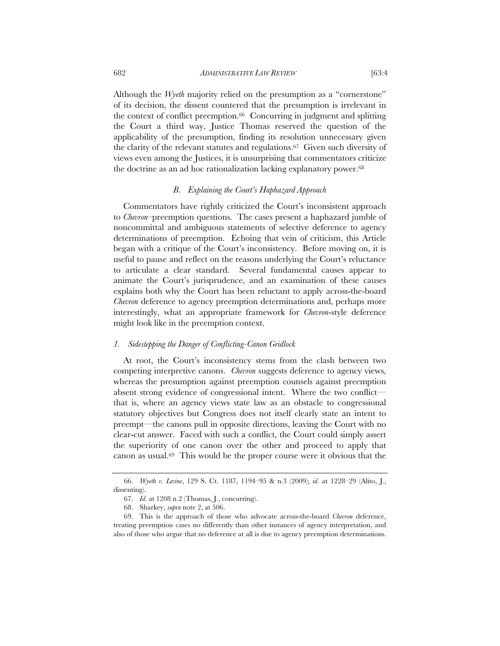Although the *Wyeth* majority relied on the presumption as a "cornerstone" of its decision, the dissent countered that the presumption is irrelevant in the context of conflict preemption.66 Concurring in judgment and splitting the Court a third way, Justice Thomas reserved the question of the applicability of the presumption, finding its resolution unnecessary given the clarity of the relevant statutes and regulations.67 Given such diversity of views even among the Justices, it is unsurprising that commentators criticize the doctrine as an ad hoc rationalization lacking explanatory power.<sup>68</sup>

#### *B. Explaining the Court's Haphazard Approach*

Commentators have rightly criticized the Court's inconsistent approach to *Chevron*–preemption questions. The cases present a haphazard jumble of noncommittal and ambiguous statements of selective deference to agency determinations of preemption. Echoing that vein of criticism, this Article began with a critique of the Court's inconsistency. Before moving on, it is useful to pause and reflect on the reasons underlying the Court's reluctance to articulate a clear standard. Several fundamental causes appear to animate the Court's jurisprudence, and an examination of these causes explains both why the Court has been reluctant to apply across-the-board *Chevron* deference to agency preemption determinations and, perhaps more interestingly, what an appropriate framework for *Chevron*-style deference might look like in the preemption context.

#### *1. Sidestepping the Danger of Conflicting-Canon Gridlock*

At root, the Court's inconsistency stems from the clash between two competing interpretive canons. *Chevron* suggests deference to agency views, whereas the presumption against preemption counsels against preemption absent strong evidence of congressional intent. Where the two conflict that is, where an agency views state law as an obstacle to congressional statutory objectives but Congress does not itself clearly state an intent to preempt—the canons pull in opposite directions, leaving the Court with no clear-cut answer. Faced with such a conflict, the Court could simply assert the superiority of one canon over the other and proceed to apply that canon as usual.69 This would be the proper course were it obvious that the

<sup>66.</sup> *Wyeth v. Levine*, 129 S. Ct. 1187, 1194–95 & n.3 (2009); *id.* at 1228–29 (Alito, J., dissenting).

<sup>67.</sup> *Id.* at 1208 n.2 (Thomas, J., concurring).

<sup>68.</sup> Sharkey, *supra* note 2, at 506.

<sup>69.</sup> This is the approach of those who advocate across-the-board *Chevron* deference, treating preemption cases no differently than other instances of agency interpretation, and also of those who argue that no deference at all is due to agency preemption determinations.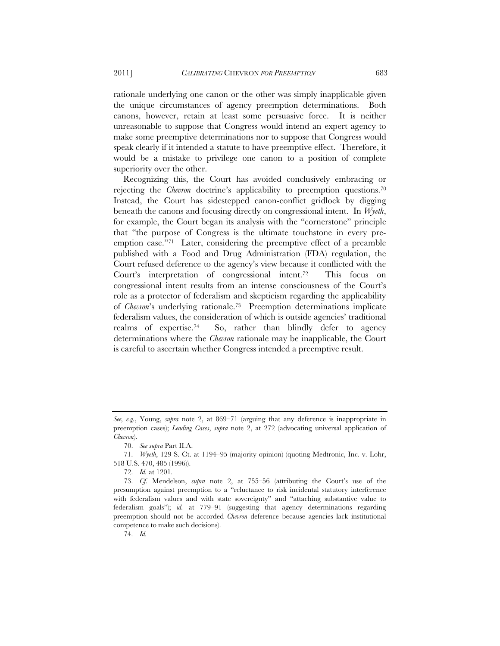rationale underlying one canon or the other was simply inapplicable given the unique circumstances of agency preemption determinations. Both canons, however, retain at least some persuasive force. It is neither unreasonable to suppose that Congress would intend an expert agency to make some preemptive determinations nor to suppose that Congress would speak clearly if it intended a statute to have preemptive effect. Therefore, it would be a mistake to privilege one canon to a position of complete superiority over the other.

Recognizing this, the Court has avoided conclusively embracing or rejecting the *Chevron* doctrine's applicability to preemption questions.70 Instead, the Court has sidestepped canon-conflict gridlock by digging beneath the canons and focusing directly on congressional intent. In *Wyeth*, for example, the Court began its analysis with the "cornerstone" principle that "the purpose of Congress is the ultimate touchstone in every preemption case."71 Later, considering the preemptive effect of a preamble published with a Food and Drug Administration (FDA) regulation, the Court refused deference to the agency's view because it conflicted with the Court's interpretation of congressional intent.72 This focus on congressional intent results from an intense consciousness of the Court's role as a protector of federalism and skepticism regarding the applicability of *Chevron*'s underlying rationale.73 Preemption determinations implicate federalism values, the consideration of which is outside agencies' traditional realms of expertise.<sup>74</sup> So, rather than blindly defer to agency determinations where the *Chevron* rationale may be inapplicable, the Court is careful to ascertain whether Congress intended a preemptive result.

74. *Id.*

*See, e.g.*, Young, *supra* note 2, at 869–71 (arguing that any deference is inappropriate in preemption cases); *Leading Cases*, *supra* note 2, at 272 (advocating universal application of *Chevron*).

<sup>70.</sup> *See supra* Part II.A.

<sup>71.</sup> *Wyeth*, 129 S. Ct. at 1194–95 (majority opinion) (quoting Medtronic, Inc. v. Lohr, 518 U.S. 470, 485 (1996)).

<sup>72.</sup> *Id.* at 1201.

<sup>73.</sup> *Cf.* Mendelson, *supra* note 2, at 755–56 (attributing the Court's use of the presumption against preemption to a "reluctance to risk incidental statutory interference with federalism values and with state sovereignty" and "attaching substantive value to federalism goals"); *id.* at 779–91 (suggesting that agency determinations regarding preemption should not be accorded *Chevron* deference because agencies lack institutional competence to make such decisions).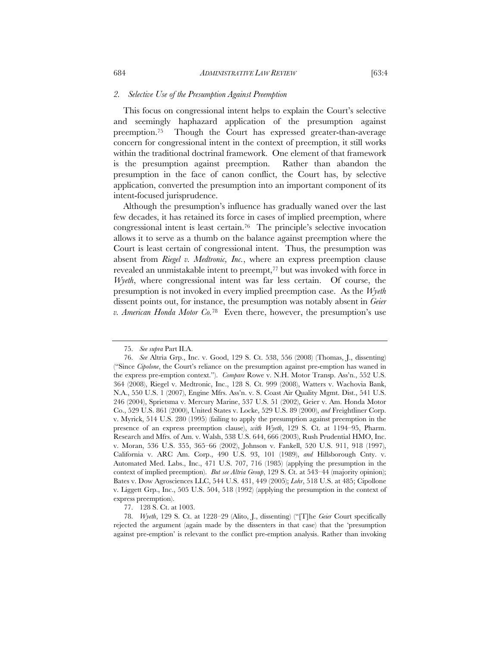#### *2. Selective Use of the Presumption Against Preemption*

This focus on congressional intent helps to explain the Court's selective and seemingly haphazard application of the presumption against preemption.75 Though the Court has expressed greater-than-average concern for congressional intent in the context of preemption, it still works within the traditional doctrinal framework. One element of that framework is the presumption against preemption. Rather than abandon the presumption in the face of canon conflict, the Court has, by selective application, converted the presumption into an important component of its intent-focused jurisprudence.

Although the presumption's influence has gradually waned over the last few decades, it has retained its force in cases of implied preemption, where congressional intent is least certain.76 The principle's selective invocation allows it to serve as a thumb on the balance against preemption where the Court is least certain of congressional intent. Thus, the presumption was absent from *Riegel v. Medtronic, Inc.*, where an express preemption clause revealed an unmistakable intent to preempt,77 but was invoked with force in *Wyeth*, where congressional intent was far less certain. Of course, the presumption is not invoked in every implied preemption case. As the *Wyeth* dissent points out, for instance, the presumption was notably absent in *Geier v. American Honda Motor Co.*78 Even there, however, the presumption's use

<sup>75.</sup> *See supra* Part II.A.

<sup>76.</sup> *See* Altria Grp., Inc. v. Good, 129 S. Ct. 538, 556 (2008) (Thomas, J., dissenting) ("Since *Cipolone*, the Court's reliance on the presumption against pre-emption has waned in the express pre-emption context."). *Compare* Rowe v. N.H. Motor Transp. Ass'n., 552 U.S. 364 (2008), Riegel v. Medtronic, Inc., 128 S. Ct. 999 (2008), Watters v. Wachovia Bank, N.A., 550 U.S. 1 (2007), Engine Mfrs. Ass'n. v. S. Coast Air Quality Mgmt. Dist., 541 U.S. 246 (2004), Sprietsma v. Mercury Marine, 537 U.S. 51 (2002), Geier v. Am. Honda Motor Co., 529 U.S. 861 (2000), United States v. Locke, 529 U.S. 89 (2000), *and* Freightliner Corp. v. Myrick, 514 U.S. 280 (1995) (failing to apply the presumption against preemption in the presence of an express preemption clause), *with Wyeth*, 129 S. Ct. at 1194–95, Pharm. Research and Mfrs. of Am. v. Walsh, 538 U.S. 644, 666 (2003), Rush Prudential HMO, Inc. v. Moran, 536 U.S. 355, 365–66 (2002), Johnson v. Fankell, 520 U.S. 911, 918 (1997), California v. ARC Am. Corp., 490 U.S. 93, 101 (1989), *and* Hillsborough Cnty. v. Automated Med. Labs., Inc., 471 U.S. 707, 716 (1985) (applying the presumption in the context of implied preemption). *But see Altria Group*, 129 S. Ct. at 543–44 (majority opinion); Bates v. Dow Agrosciences LLC, 544 U.S. 431, 449 (2005); *Lohr*, 518 U.S. at 485; Cipollone v. Liggett Grp., Inc., 505 U.S. 504, 518 (1992) (applying the presumption in the context of express preemption).

<sup>77. 128</sup> S. Ct. at 1003.

<sup>78.</sup> *Wyeth*, 129 S. Ct. at 1228–29 (Alito, J., dissenting) ("[T]he *Geier* Court specifically rejected the argument (again made by the dissenters in that case) that the 'presumption against pre-emption' is relevant to the conflict pre-emption analysis. Rather than invoking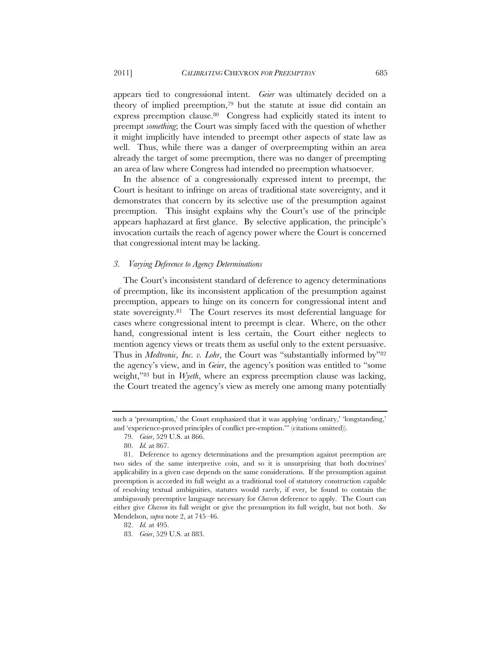appears tied to congressional intent. *Geier* was ultimately decided on a theory of implied preemption,79 but the statute at issue did contain an express preemption clause.80 Congress had explicitly stated its intent to preempt *something*; the Court was simply faced with the question of whether it might implicitly have intended to preempt other aspects of state law as well. Thus, while there was a danger of overpreempting within an area already the target of some preemption, there was no danger of preempting an area of law where Congress had intended no preemption whatsoever.

In the absence of a congressionally expressed intent to preempt, the Court is hesitant to infringe on areas of traditional state sovereignty, and it demonstrates that concern by its selective use of the presumption against preemption. This insight explains why the Court's use of the principle appears haphazard at first glance. By selective application, the principle's invocation curtails the reach of agency power where the Court is concerned that congressional intent may be lacking.

#### *3. Varying Deference to Agency Determinations*

The Court's inconsistent standard of deference to agency determinations of preemption, like its inconsistent application of the presumption against preemption, appears to hinge on its concern for congressional intent and state sovereignty.81 The Court reserves its most deferential language for cases where congressional intent to preempt is clear. Where, on the other hand, congressional intent is less certain, the Court either neglects to mention agency views or treats them as useful only to the extent persuasive. Thus in *Medtronic, Inc. v. Lohr*, the Court was "substantially informed by"<sup>82</sup> the agency's view, and in *Geier*, the agency's position was entitled to "some weight,"83 but in *Wyeth*, where an express preemption clause was lacking, the Court treated the agency's view as merely one among many potentially

such a 'presumption,' the Court emphasized that it was applying 'ordinary,' 'longstanding,' and 'experience-proved principles of conflict pre-emption.'" (citations omitted)).

<sup>79.</sup> *Geier*, 529 U.S. at 866.

<sup>80.</sup> *Id.* at 867.

<sup>81.</sup> Deference to agency determinations and the presumption against preemption are two sides of the same interpretive coin, and so it is unsurprising that both doctrines' applicability in a given case depends on the same considerations. If the presumption against preemption is accorded its full weight as a traditional tool of statutory construction capable of resolving textual ambiguities, statutes would rarely, if ever, be found to contain the ambiguously preemptive language necessary for *Chevron* deference to apply. The Court can either give *Chevron* its full weight or give the presumption its full weight, but not both. *See*  Mendelson, *supra* note 2, at 745–46.

<sup>82.</sup> *Id.* at 495.

<sup>83.</sup> *Geier*, 529 U.S. at 883.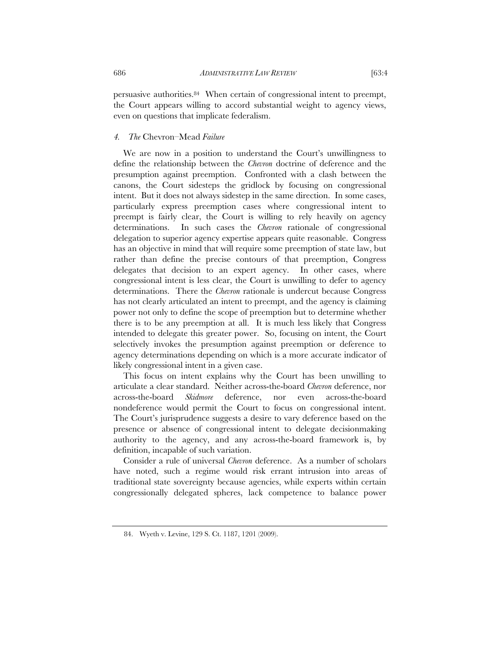persuasive authorities.84 When certain of congressional intent to preempt, the Court appears willing to accord substantial weight to agency views, even on questions that implicate federalism.

#### *4. The* Chevron–Mead *Failure*

We are now in a position to understand the Court's unwillingness to define the relationship between the *Chevron* doctrine of deference and the presumption against preemption. Confronted with a clash between the canons, the Court sidesteps the gridlock by focusing on congressional intent. But it does not always sidestep in the same direction. In some cases, particularly express preemption cases where congressional intent to preempt is fairly clear, the Court is willing to rely heavily on agency determinations. In such cases the *Chevron* rationale of congressional delegation to superior agency expertise appears quite reasonable. Congress has an objective in mind that will require some preemption of state law, but rather than define the precise contours of that preemption, Congress delegates that decision to an expert agency. In other cases, where congressional intent is less clear, the Court is unwilling to defer to agency determinations. There the *Chevron* rationale is undercut because Congress has not clearly articulated an intent to preempt, and the agency is claiming power not only to define the scope of preemption but to determine whether there is to be any preemption at all. It is much less likely that Congress intended to delegate this greater power. So, focusing on intent, the Court selectively invokes the presumption against preemption or deference to agency determinations depending on which is a more accurate indicator of likely congressional intent in a given case.

This focus on intent explains why the Court has been unwilling to articulate a clear standard. Neither across-the-board *Chevron* deference, nor across-the-board *Skidmore* deference, nor even across-the-board nondeference would permit the Court to focus on congressional intent. The Court's jurisprudence suggests a desire to vary deference based on the presence or absence of congressional intent to delegate decisionmaking authority to the agency, and any across-the-board framework is, by definition, incapable of such variation.

Consider a rule of universal *Chevron* deference. As a number of scholars have noted, such a regime would risk errant intrusion into areas of traditional state sovereignty because agencies, while experts within certain congressionally delegated spheres, lack competence to balance power

<sup>84.</sup> Wyeth v. Levine, 129 S. Ct. 1187, 1201 (2009).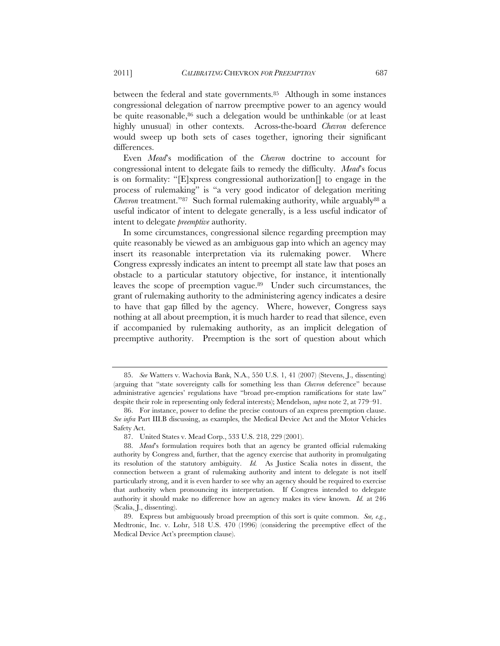between the federal and state governments.<sup>85</sup> Although in some instances congressional delegation of narrow preemptive power to an agency would be quite reasonable,<sup>86</sup> such a delegation would be unthinkable (or at least highly unusual) in other contexts. Across-the-board *Chevron* deference would sweep up both sets of cases together, ignoring their significant differences.

Even *Mead*'s modification of the *Chevron* doctrine to account for congressional intent to delegate fails to remedy the difficulty. *Mead*'s focus is on formality: "[E]xpress congressional authorization[] to engage in the process of rulemaking" is "a very good indicator of delegation meriting *Chevron* treatment."87 Such formal rulemaking authority, while arguably<sup>88</sup> a useful indicator of intent to delegate generally, is a less useful indicator of intent to delegate *preemptive* authority.

In some circumstances, congressional silence regarding preemption may quite reasonably be viewed as an ambiguous gap into which an agency may insert its reasonable interpretation via its rulemaking power. Where Congress expressly indicates an intent to preempt all state law that poses an obstacle to a particular statutory objective, for instance, it intentionally leaves the scope of preemption vague.<sup>89</sup> Under such circumstances, the grant of rulemaking authority to the administering agency indicates a desire to have that gap filled by the agency. Where, however, Congress says nothing at all about preemption, it is much harder to read that silence, even if accompanied by rulemaking authority, as an implicit delegation of preemptive authority. Preemption is the sort of question about which

<sup>85.</sup> *See* Watters v. Wachovia Bank, N.A., 550 U.S. 1, 41 (2007) (Stevens, J., dissenting) (arguing that "state sovereignty calls for something less than *Chevron* deference" because administrative agencies' regulations have "broad pre-emption ramifications for state law" despite their role in representing only federal interests); Mendelson, *supra* note 2, at 779–91.

<sup>86.</sup> For instance, power to define the precise contours of an express preemption clause. *See infra* Part III.B discussing, as examples, the Medical Device Act and the Motor Vehicles Safety Act.

<sup>87.</sup> United States v. Mead Corp., 533 U.S. 218, 229 (2001).

<sup>88.</sup> *Mead*'s formulation requires both that an agency be granted official rulemaking authority by Congress and, further, that the agency exercise that authority in promulgating its resolution of the statutory ambiguity. *Id.* As Justice Scalia notes in dissent, the connection between a grant of rulemaking authority and intent to delegate is not itself particularly strong, and it is even harder to see why an agency should be required to exercise that authority when pronouncing its interpretation. If Congress intended to delegate authority it should make no difference how an agency makes its view known. *Id.* at 246 (Scalia, J., dissenting).

<sup>89.</sup> Express but ambiguously broad preemption of this sort is quite common. *See, e.g.*, Medtronic, Inc. v. Lohr, 518 U.S. 470 (1996) (considering the preemptive effect of the Medical Device Act's preemption clause).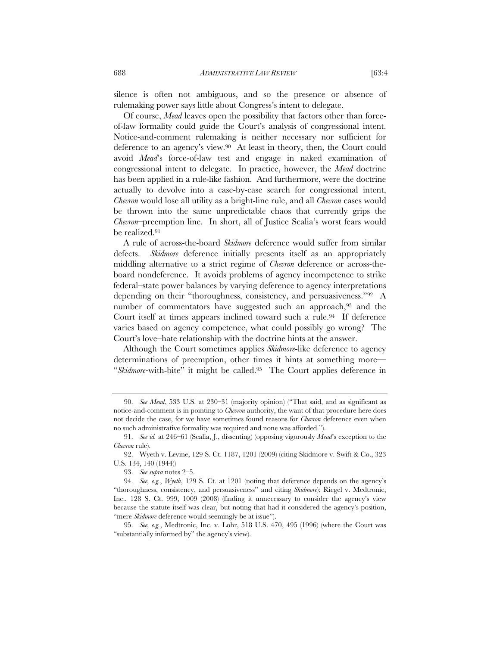silence is often not ambiguous, and so the presence or absence of rulemaking power says little about Congress's intent to delegate.

Of course, *Mead* leaves open the possibility that factors other than forceof-law formality could guide the Court's analysis of congressional intent. Notice-and-comment rulemaking is neither necessary nor sufficient for deference to an agency's view.90 At least in theory, then, the Court could avoid *Mead*'s force-of-law test and engage in naked examination of congressional intent to delegate. In practice, however, the *Mead* doctrine has been applied in a rule-like fashion. And furthermore, were the doctrine actually to devolve into a case-by-case search for congressional intent, *Chevron* would lose all utility as a bright-line rule, and all *Chevron* cases would be thrown into the same unpredictable chaos that currently grips the *Chevron*–preemption line. In short, all of Justice Scalia's worst fears would be realized.91

A rule of across-the-board *Skidmore* deference would suffer from similar defects. *Skidmore* deference initially presents itself as an appropriately middling alternative to a strict regime of *Chevron* deference or across-theboard nondeference. It avoids problems of agency incompetence to strike federal–state power balances by varying deference to agency interpretations depending on their "thoroughness, consistency, and persuasiveness."92 A number of commentators have suggested such an approach,<sup>93</sup> and the Court itself at times appears inclined toward such a rule.<sup>94</sup> If deference varies based on agency competence, what could possibly go wrong? The Court's love–hate relationship with the doctrine hints at the answer.

Although the Court sometimes applies *Skidmore*-like deference to agency determinations of preemption, other times it hints at something more— "*Skidmore-*with-bite" it might be called.95 The Court applies deference in

<sup>90.</sup> *See Mead*, 533 U.S. at 230–31 (majority opinion) ("That said, and as significant as notice-and-comment is in pointing to *Chevron* authority, the want of that procedure here does not decide the case, for we have sometimes found reasons for *Chevron* deference even when no such administrative formality was required and none was afforded.").

<sup>91.</sup> *See id.* at 246–61 (Scalia, J., dissenting) (opposing vigorously *Mead*'s exception to the *Chevron* rule).

<sup>92.</sup> Wyeth v. Levine, 129 S. Ct. 1187, 1201 (2009) (citing Skidmore v. Swift & Co., 323 U.S. 134, 140 (1944))

<sup>93.</sup> *See supra* notes 2–5.

<sup>94.</sup> *See, e.g.*, *Wyeth*, 129 S. Ct. at 1201 (noting that deference depends on the agency's "thoroughness, consistency, and persuasiveness" and citing *Skidmore*); Riegel v. Medtronic, Inc., 128 S. Ct. 999, 1009 (2008) (finding it unnecessary to consider the agency's view because the statute itself was clear, but noting that had it considered the agency's position, "mere *Skidmore* deference would seemingly be at issue").

<sup>95.</sup> *See, e.g.*, Medtronic, Inc. v. Lohr, 518 U.S. 470, 495 (1996) (where the Court was "substantially informed by" the agency's view).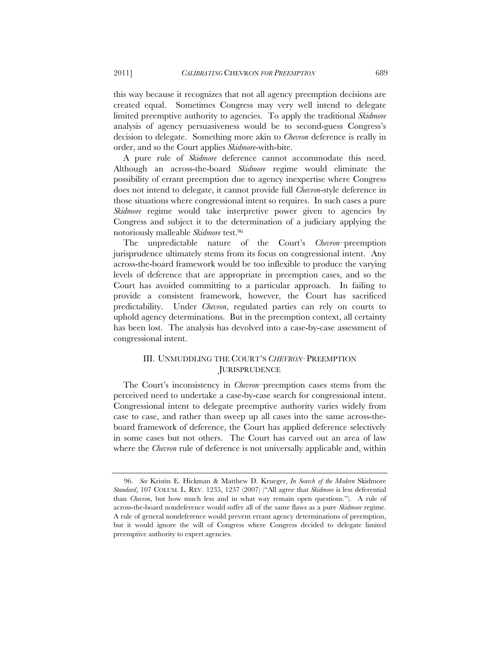this way because it recognizes that not all agency preemption decisions are created equal. Sometimes Congress may very well intend to delegate limited preemptive authority to agencies. To apply the traditional *Skidmore* analysis of agency persuasiveness would be to second-guess Congress's decision to delegate. Something more akin to *Chevron* deference is really in order, and so the Court applies *Skidmore*-with-bite.

A pure rule of *Skidmore* deference cannot accommodate this need. Although an across-the-board *Skidmore* regime would eliminate the possibility of errant preemption due to agency inexpertise where Congress does not intend to delegate, it cannot provide full *Chevron*-style deference in those situations where congressional intent so requires. In such cases a pure *Skidmore* regime would take interpretive power given to agencies by Congress and subject it to the determination of a judiciary applying the notoriously malleable *Skidmore* test.96

The unpredictable nature of the Court's *Chevron*–preemption jurisprudence ultimately stems from its focus on congressional intent. Any across-the-board framework would be too inflexible to produce the varying levels of deference that are appropriate in preemption cases, and so the Court has avoided committing to a particular approach. In failing to provide a consistent framework, however, the Court has sacrificed predictability. Under *Chevron*, regulated parties can rely on courts to uphold agency determinations. But in the preemption context, all certainty has been lost. The analysis has devolved into a case-by-case assessment of congressional intent.

# III. UNMUDDLING THE COURT'S *CHEVRON*–PREEMPTION **JURISPRUDENCE**

The Court's inconsistency in *Chevron*–preemption cases stems from the perceived need to undertake a case-by-case search for congressional intent. Congressional intent to delegate preemptive authority varies widely from case to case, and rather than sweep up all cases into the same across-theboard framework of deference, the Court has applied deference selectively in some cases but not others. The Court has carved out an area of law where the *Chevron* rule of deference is not universally applicable and, within

<sup>96.</sup> *See* Kristin E. Hickman & Matthew D. Krueger, *In Search of the Modern* Skidmore *Standard*, 107 COLUM. L. REV. 1235, 1237 (2007) ("All agree that *Skidmore* is less deferential than *Chevron*, but how much less and in what way remain open questions."). A rule of across-the-board nondeference would suffer all of the same flaws as a pure *Skidmore* regime. A rule of general nondeference would prevent errant agency determinations of preemption, but it would ignore the will of Congress where Congress decided to delegate limited preemptive authority to expert agencies.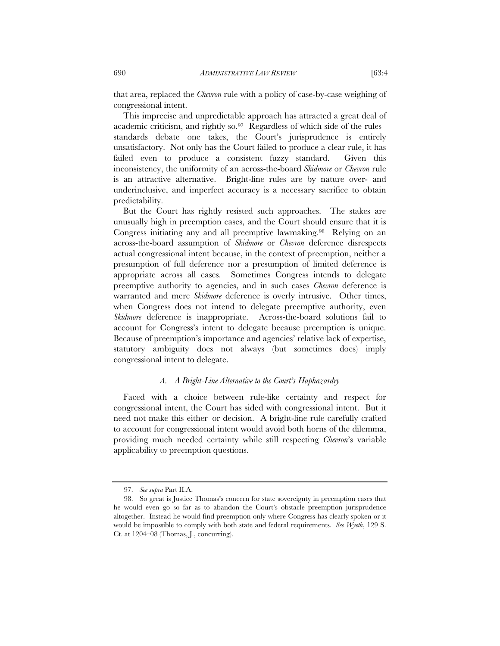that area, replaced the *Chevron* rule with a policy of case-by-case weighing of congressional intent.

This imprecise and unpredictable approach has attracted a great deal of academic criticism, and rightly so.97 Regardless of which side of the rules– standards debate one takes, the Court's jurisprudence is entirely unsatisfactory. Not only has the Court failed to produce a clear rule, it has failed even to produce a consistent fuzzy standard. Given this inconsistency, the uniformity of an across-the-board *Skidmore* or *Chevron* rule is an attractive alternative. Bright-line rules are by nature over- and underinclusive, and imperfect accuracy is a necessary sacrifice to obtain predictability.

But the Court has rightly resisted such approaches. The stakes are unusually high in preemption cases, and the Court should ensure that it is Congress initiating any and all preemptive lawmaking.98 Relying on an across-the-board assumption of *Skidmore* or *Chevron* deference disrespects actual congressional intent because, in the context of preemption, neither a presumption of full deference nor a presumption of limited deference is appropriate across all cases. Sometimes Congress intends to delegate preemptive authority to agencies, and in such cases *Chevron* deference is warranted and mere *Skidmore* deference is overly intrusive. Other times, when Congress does not intend to delegate preemptive authority, even *Skidmore* deference is inappropriate. Across-the-board solutions fail to account for Congress's intent to delegate because preemption is unique. Because of preemption's importance and agencies' relative lack of expertise, statutory ambiguity does not always (but sometimes does) imply congressional intent to delegate.

#### *A. A Bright-Line Alternative to the Court's Haphazardry*

Faced with a choice between rule-like certainty and respect for congressional intent, the Court has sided with congressional intent. But it need not make this either–or decision. A bright-line rule carefully crafted to account for congressional intent would avoid both horns of the dilemma, providing much needed certainty while still respecting *Chevron*'s variable applicability to preemption questions.

<sup>97.</sup> *See supra* Part II.A.

<sup>98.</sup> So great is Justice Thomas's concern for state sovereignty in preemption cases that he would even go so far as to abandon the Court's obstacle preemption jurisprudence altogether. Instead he would find preemption only where Congress has clearly spoken or it would be impossible to comply with both state and federal requirements. *See Wyeth*, 129 S. Ct. at 1204–08 (Thomas, J., concurring).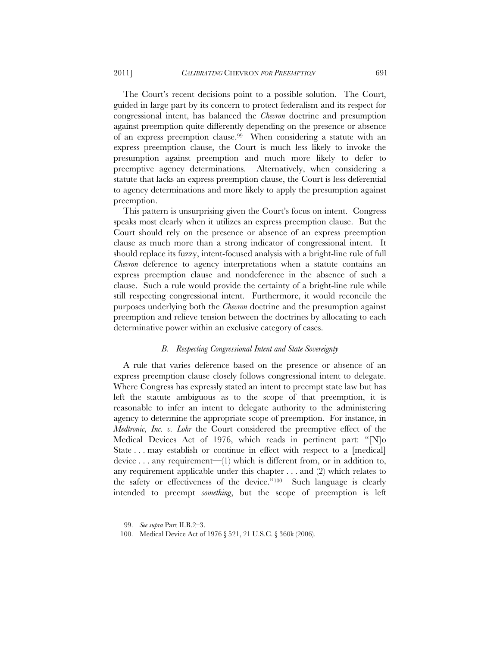The Court's recent decisions point to a possible solution. The Court, guided in large part by its concern to protect federalism and its respect for congressional intent, has balanced the *Chevron* doctrine and presumption against preemption quite differently depending on the presence or absence of an express preemption clause.99 When considering a statute with an express preemption clause, the Court is much less likely to invoke the presumption against preemption and much more likely to defer to preemptive agency determinations. Alternatively, when considering a statute that lacks an express preemption clause, the Court is less deferential to agency determinations and more likely to apply the presumption against preemption.

This pattern is unsurprising given the Court's focus on intent. Congress speaks most clearly when it utilizes an express preemption clause. But the Court should rely on the presence or absence of an express preemption clause as much more than a strong indicator of congressional intent. It should replace its fuzzy, intent-focused analysis with a bright-line rule of full *Chevron* deference to agency interpretations when a statute contains an express preemption clause and nondeference in the absence of such a clause. Such a rule would provide the certainty of a bright-line rule while still respecting congressional intent. Furthermore, it would reconcile the purposes underlying both the *Chevron* doctrine and the presumption against preemption and relieve tension between the doctrines by allocating to each determinative power within an exclusive category of cases.

## *B. Respecting Congressional Intent and State Sovereignty*

A rule that varies deference based on the presence or absence of an express preemption clause closely follows congressional intent to delegate. Where Congress has expressly stated an intent to preempt state law but has left the statute ambiguous as to the scope of that preemption, it is reasonable to infer an intent to delegate authority to the administering agency to determine the appropriate scope of preemption. For instance, in *Medtronic, Inc. v. Lohr* the Court considered the preemptive effect of the Medical Devices Act of 1976, which reads in pertinent part: "[N]o State . . . may establish or continue in effect with respect to a [medical] device . . . any requirement—(1) which is different from, or in addition to, any requirement applicable under this chapter . . . and (2) which relates to the safety or effectiveness of the device."100 Such language is clearly intended to preempt *something*, but the scope of preemption is left

<sup>99.</sup> *See supra* Part II.B.2–3.

<sup>100.</sup> Medical Device Act of 1976 § 521, 21 U.S.C. § 360k (2006).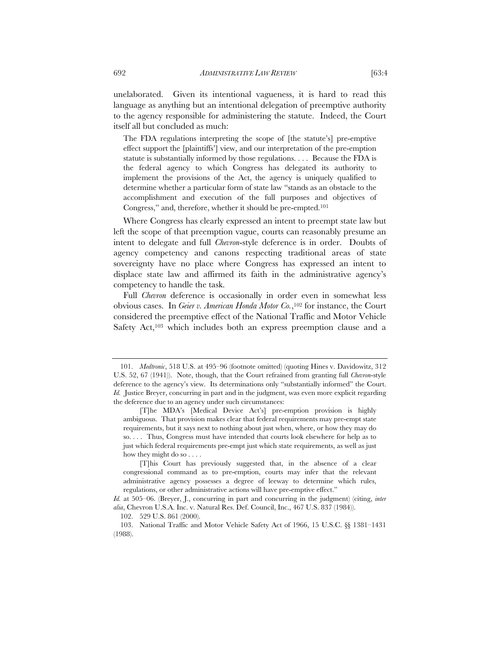unelaborated. Given its intentional vagueness, it is hard to read this language as anything but an intentional delegation of preemptive authority to the agency responsible for administering the statute. Indeed, the Court itself all but concluded as much:

The FDA regulations interpreting the scope of [the statute's] pre-emptive effect support the [plaintiffs'] view, and our interpretation of the pre-emption statute is substantially informed by those regulations. . . . Because the FDA is the federal agency to which Congress has delegated its authority to implement the provisions of the Act, the agency is uniquely qualified to determine whether a particular form of state law "stands as an obstacle to the accomplishment and execution of the full purposes and objectives of Congress," and, therefore, whether it should be pre-empted.101

Where Congress has clearly expressed an intent to preempt state law but left the scope of that preemption vague, courts can reasonably presume an intent to delegate and full *Chevron*-style deference is in order. Doubts of agency competency and canons respecting traditional areas of state sovereignty have no place where Congress has expressed an intent to displace state law and affirmed its faith in the administrative agency's competency to handle the task.

Full *Chevron* deference is occasionally in order even in somewhat less obvious cases. In *Geier v. American Honda Motor Co.*,102 for instance, the Court considered the preemptive effect of the National Traffic and Motor Vehicle Safety Act,<sup>103</sup> which includes both an express preemption clause and a

 <sup>101.</sup> *Medtronic*, 518 U.S. at 495–96 (footnote omitted) (quoting Hines v. Davidowitz, 312 U.S. 52, 67 (1941)). Note, though, that the Court refrained from granting full *Chevron*-style deference to the agency's view. Its determinations only "substantially informed" the Court. *Id.* Justice Breyer, concurring in part and in the judgment, was even more explicit regarding the deference due to an agency under such circumstances:

 <sup>[</sup>T]he MDA's [Medical Device Act's] pre-emption provision is highly ambiguous. That provision makes clear that federal requirements may pre-empt state requirements, but it says next to nothing about just when, where, or how they may do so. . . . Thus, Congress must have intended that courts look elsewhere for help as to just which federal requirements pre-empt just which state requirements, as well as just how they might do so . . . .

 <sup>[</sup>T]his Court has previously suggested that, in the absence of a clear congressional command as to pre-emption, courts may infer that the relevant administrative agency possesses a degree of leeway to determine which rules, regulations, or other administrative actions will have pre-emptive effect."

*Id.* at 505–06. (Breyer, J., concurring in part and concurring in the judgment) (citing, *inter alia*, Chevron U.S.A. Inc. v. Natural Res. Def. Council, Inc., 467 U.S. 837 (1984)).

<sup>102. 529</sup> U.S. 861 (2000).

 <sup>103.</sup> National Traffic and Motor Vehicle Safety Act of 1966, 15 U.S.C. §§ 1381–1431 (1988).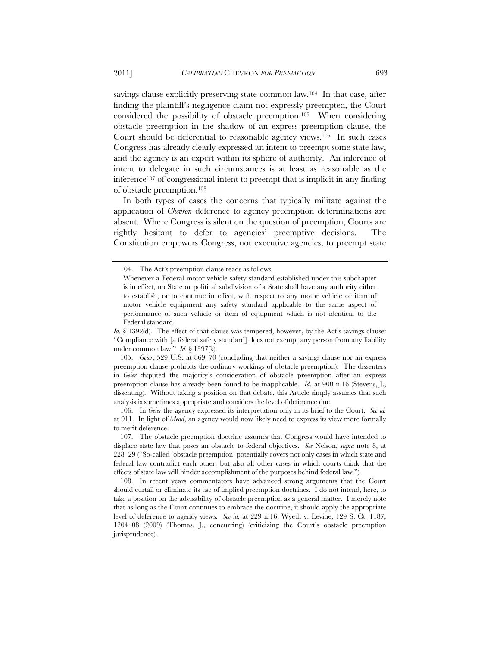savings clause explicitly preserving state common law.<sup>104</sup> In that case, after finding the plaintiff's negligence claim not expressly preempted, the Court considered the possibility of obstacle preemption.105 When considering obstacle preemption in the shadow of an express preemption clause, the Court should be deferential to reasonable agency views.106 In such cases

Congress has already clearly expressed an intent to preempt some state law, and the agency is an expert within its sphere of authority. An inference of intent to delegate in such circumstances is at least as reasonable as the inference107 of congressional intent to preempt that is implicit in any finding of obstacle preemption.108

In both types of cases the concerns that typically militate against the application of *Chevron* deference to agency preemption determinations are absent. Where Congress is silent on the question of preemption, Courts are rightly hesitant to defer to agencies' preemptive decisions. The Constitution empowers Congress, not executive agencies, to preempt state

*Id.* § 1392(d). The effect of that clause was tempered, however, by the Act's savings clause: "Compliance with [a federal safety standard] does not exempt any person from any liability under common law." *Id.* § 1397(k).

 105. *Geier*, 529 U.S. at 869–70 (concluding that neither a savings clause nor an express preemption clause prohibits the ordinary workings of obstacle preemption). The dissenters in *Geier* disputed the majority's consideration of obstacle preemption after an express preemption clause has already been found to be inapplicable. *Id.* at 900 n.16 (Stevens, J., dissenting). Without taking a position on that debate, this Article simply assumes that such analysis is sometimes appropriate and considers the level of deference due.

 106. In *Geier* the agency expressed its interpretation only in its brief to the Court. *See id.* at 911. In light of *Mead*, an agency would now likely need to express its view more formally to merit deference.

 107. The obstacle preemption doctrine assumes that Congress would have intended to displace state law that poses an obstacle to federal objectives. *See* Nelson, *supra* note 8, at 228–29 ("So-called 'obstacle preemption' potentially covers not only cases in which state and federal law contradict each other, but also all other cases in which courts think that the effects of state law will hinder accomplishment of the purposes behind federal law.").

 108. In recent years commentators have advanced strong arguments that the Court should curtail or eliminate its use of implied preemption doctrines. I do not intend, here, to take a position on the advisability of obstacle preemption as a general matter. I merely note that as long as the Court continues to embrace the doctrine, it should apply the appropriate level of deference to agency views. *See id.* at 229 n.16; Wyeth v. Levine, 129 S. Ct. 1187, 1204–08 (2009) (Thomas, J., concurring) (criticizing the Court's obstacle preemption jurisprudence).

<sup>104.</sup> The Act's preemption clause reads as follows:

Whenever a Federal motor vehicle safety standard established under this subchapter is in effect, no State or political subdivision of a State shall have any authority either to establish, or to continue in effect, with respect to any motor vehicle or item of motor vehicle equipment any safety standard applicable to the same aspect of performance of such vehicle or item of equipment which is not identical to the Federal standard.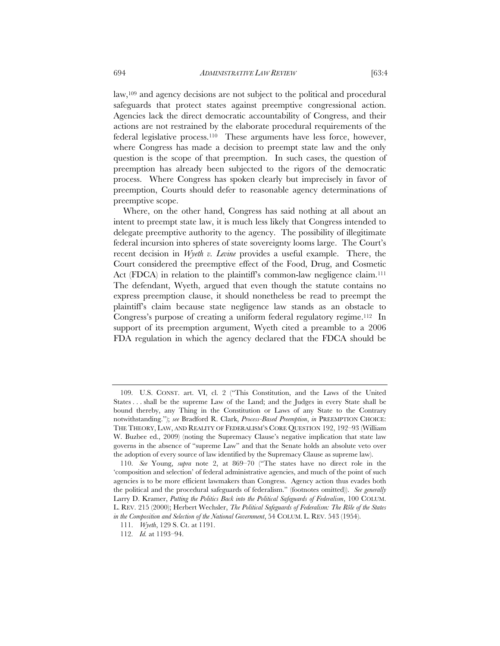law,109 and agency decisions are not subject to the political and procedural safeguards that protect states against preemptive congressional action. Agencies lack the direct democratic accountability of Congress, and their actions are not restrained by the elaborate procedural requirements of the federal legislative process.110 These arguments have less force, however, where Congress has made a decision to preempt state law and the only question is the scope of that preemption. In such cases, the question of preemption has already been subjected to the rigors of the democratic

process. Where Congress has spoken clearly but imprecisely in favor of preemption, Courts should defer to reasonable agency determinations of

preemptive scope. Where, on the other hand, Congress has said nothing at all about an intent to preempt state law, it is much less likely that Congress intended to delegate preemptive authority to the agency. The possibility of illegitimate federal incursion into spheres of state sovereignty looms large. The Court's recent decision in *Wyeth v. Levine* provides a useful example. There, the Court considered the preemptive effect of the Food, Drug, and Cosmetic Act (FDCA) in relation to the plaintiff's common-law negligence claim.<sup>111</sup> The defendant, Wyeth, argued that even though the statute contains no express preemption clause, it should nonetheless be read to preempt the plaintiff's claim because state negligence law stands as an obstacle to Congress's purpose of creating a uniform federal regulatory regime.112 In support of its preemption argument, Wyeth cited a preamble to a 2006 FDA regulation in which the agency declared that the FDCA should be

 <sup>109.</sup> U.S. CONST. art. VI, cl. 2 ("This Constitution, and the Laws of the United States . . . shall be the supreme Law of the Land; and the Judges in every State shall be bound thereby, any Thing in the Constitution or Laws of any State to the Contrary notwithstanding."); *see* Bradford R. Clark, *Process-Based Preemption*, *in* PREEMPTION CHOICE: THE THEORY, LAW, AND REALITY OF FEDERALISM'S CORE QUESTION 192, 192–93 (William W. Buzbee ed., 2009) (noting the Supremacy Clause's negative implication that state law governs in the absence of "supreme Law" and that the Senate holds an absolute veto over the adoption of every source of law identified by the Supremacy Clause as supreme law).

 <sup>110.</sup> *See* Young, *supra* note 2, at 869–70 ("The states have no direct role in the 'composition and selection' of federal administrative agencies, and much of the point of such agencies is to be more efficient lawmakers than Congress. Agency action thus evades both the political and the procedural safeguards of federalism." (footnotes omitted)). *See generally* Larry D. Kramer, *Putting the Politics Back into the Political Safeguards of Federalism*, 100 COLUM. L. REV. 215 (2000); Herbert Wechsler, *The Political Safeguards of Federalism: The Rôle of the States in the Composition and Selection of the National Government*, 54 COLUM. L. REV. 543 (1954).

 <sup>111.</sup> *Wyeth*, 129 S. Ct. at 1191.

 <sup>112.</sup> *Id.* at 1193–94.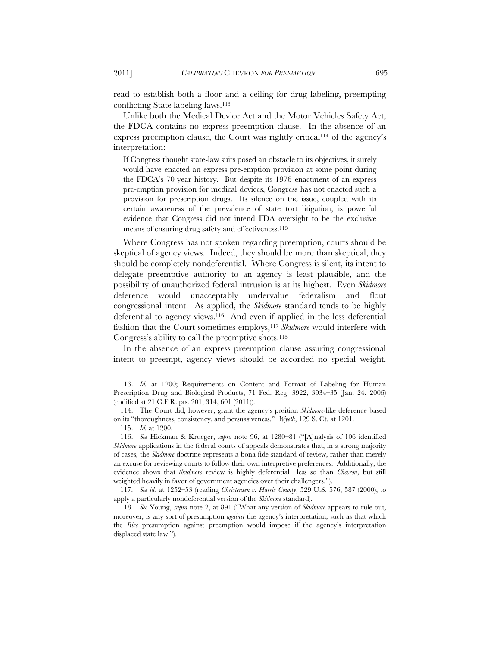read to establish both a floor and a ceiling for drug labeling, preempting conflicting State labeling laws.113

Unlike both the Medical Device Act and the Motor Vehicles Safety Act, the FDCA contains no express preemption clause. In the absence of an express preemption clause, the Court was rightly critical<sup>114</sup> of the agency's interpretation:

If Congress thought state-law suits posed an obstacle to its objectives, it surely would have enacted an express pre-emption provision at some point during the FDCA's 70-year history. But despite its 1976 enactment of an express pre-emption provision for medical devices, Congress has not enacted such a provision for prescription drugs. Its silence on the issue, coupled with its certain awareness of the prevalence of state tort litigation, is powerful evidence that Congress did not intend FDA oversight to be the exclusive means of ensuring drug safety and effectiveness.115

Where Congress has not spoken regarding preemption, courts should be skeptical of agency views. Indeed, they should be more than skeptical; they should be completely nondeferential. Where Congress is silent, its intent to delegate preemptive authority to an agency is least plausible, and the possibility of unauthorized federal intrusion is at its highest. Even *Skidmore*  deference would unacceptably undervalue federalism and flout congressional intent. As applied, the *Skidmore* standard tends to be highly deferential to agency views.116 And even if applied in the less deferential fashion that the Court sometimes employs,<sup>117</sup> Skidmore would interfere with Congress's ability to call the preemptive shots.118

In the absence of an express preemption clause assuring congressional intent to preempt, agency views should be accorded no special weight.

 <sup>113.</sup> *Id.* at 1200; Requirements on Content and Format of Labeling for Human Prescription Drug and Biological Products, 71 Fed. Reg. 3922, 3934–35 (Jan. 24, 2006) (codified at 21 C.F.R. pts. 201, 314, 601 (2011)).

 <sup>114.</sup> The Court did, however, grant the agency's position *Skidmore*-like deference based on its "thoroughness, consistency, and persuasiveness." *Wyeth*, 129 S. Ct. at 1201.

 <sup>115.</sup> *Id.* at 1200.

 <sup>116.</sup> *See* Hickman & Krueger, *supra* note 96, at 1280–81 ("[A]nalysis of 106 identified *Skidmore* applications in the federal courts of appeals demonstrates that, in a strong majority of cases, the *Skidmore* doctrine represents a bona fide standard of review, rather than merely an excuse for reviewing courts to follow their own interpretive preferences. Additionally, the evidence shows that *Skidmore* review is highly deferential—less so than *Chevron*, but still weighted heavily in favor of government agencies over their challengers.").

 <sup>117.</sup> *See id.* at 1252–53 (reading *Christensen v. Harris County*, 529 U.S. 576, 587 (2000), to apply a particularly nondeferential version of the *Skidmore* standard).

 <sup>118.</sup> *See* Young, *supra* note 2, at 891 ("What any version of *Skidmore* appears to rule out, moreover, is any sort of presumption *against* the agency's interpretation, such as that which the *Rice* presumption against preemption would impose if the agency's interpretation displaced state law.").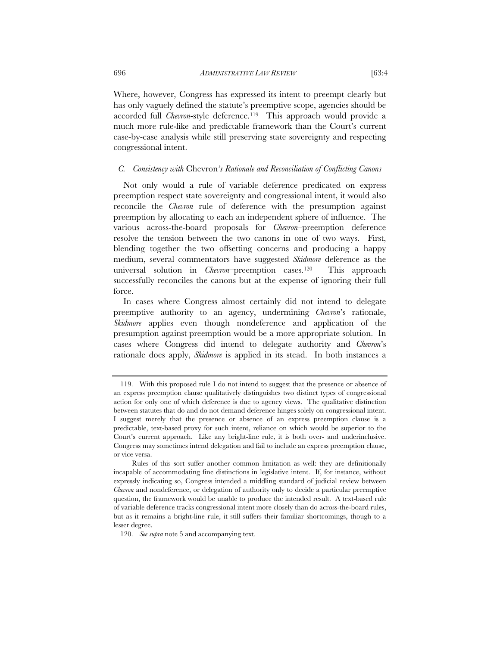Where, however, Congress has expressed its intent to preempt clearly but has only vaguely defined the statute's preemptive scope, agencies should be accorded full *Chevron*-style deference.<sup>119</sup> This approach would provide a much more rule-like and predictable framework than the Court's current case-by-case analysis while still preserving state sovereignty and respecting congressional intent.

#### *C. Consistency with* Chevron*'s Rationale and Reconciliation of Conflicting Canons*

Not only would a rule of variable deference predicated on express preemption respect state sovereignty and congressional intent, it would also reconcile the *Chevron* rule of deference with the presumption against preemption by allocating to each an independent sphere of influence. The various across-the-board proposals for *Chevron*–preemption deference resolve the tension between the two canons in one of two ways. First, blending together the two offsetting concerns and producing a happy medium, several commentators have suggested *Skidmore* deference as the universal solution in *Chevron*–preemption cases.120 This approach successfully reconciles the canons but at the expense of ignoring their full force.

In cases where Congress almost certainly did not intend to delegate preemptive authority to an agency, undermining *Chevron*'s rationale, *Skidmore* applies even though nondeference and application of the presumption against preemption would be a more appropriate solution. In cases where Congress did intend to delegate authority and *Chevron*'s rationale does apply, *Skidmore* is applied in its stead. In both instances a

 <sup>119.</sup> With this proposed rule I do not intend to suggest that the presence or absence of an express preemption clause qualitatively distinguishes two distinct types of congressional action for only one of which deference is due to agency views. The qualitative distinction between statutes that do and do not demand deference hinges solely on congressional intent. I suggest merely that the presence or absence of an express preemption clause is a predictable, text-based proxy for such intent, reliance on which would be superior to the Court's current approach. Like any bright-line rule, it is both over- and underinclusive. Congress may sometimes intend delegation and fail to include an express preemption clause, or vice versa.

Rules of this sort suffer another common limitation as well: they are definitionally incapable of accommodating fine distinctions in legislative intent. If, for instance, without expressly indicating so, Congress intended a middling standard of judicial review between *Chevron* and nondeference, or delegation of authority only to decide a particular preemptive question, the framework would be unable to produce the intended result. A text-based rule of variable deference tracks congressional intent more closely than do across-the-board rules, but as it remains a bright-line rule, it still suffers their familiar shortcomings, though to a lesser degree.

 <sup>120.</sup> *See supra* note 5 and accompanying text.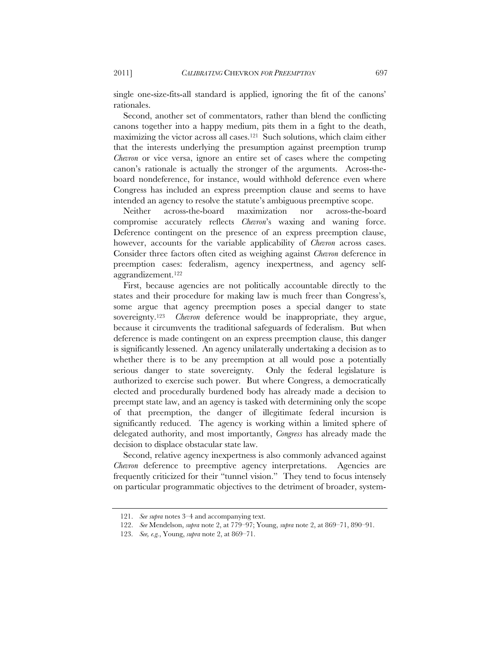single one-size-fits-all standard is applied, ignoring the fit of the canons' rationales.

Second, another set of commentators, rather than blend the conflicting canons together into a happy medium, pits them in a fight to the death, maximizing the victor across all cases.121 Such solutions, which claim either that the interests underlying the presumption against preemption trump *Chevron* or vice versa, ignore an entire set of cases where the competing canon's rationale is actually the stronger of the arguments. Across-theboard nondeference, for instance, would withhold deference even where Congress has included an express preemption clause and seems to have intended an agency to resolve the statute's ambiguous preemptive scope.

Neither across-the-board maximization nor across-the-board compromise accurately reflects *Chevron*'s waxing and waning force. Deference contingent on the presence of an express preemption clause, however, accounts for the variable applicability of *Chevron* across cases. Consider three factors often cited as weighing against *Chevron* deference in preemption cases: federalism, agency inexpertness, and agency selfaggrandizement.122

First, because agencies are not politically accountable directly to the states and their procedure for making law is much freer than Congress's, some argue that agency preemption poses a special danger to state sovereignty.123 *Chevron* deference would be inappropriate, they argue, because it circumvents the traditional safeguards of federalism. But when deference is made contingent on an express preemption clause, this danger is significantly lessened. An agency unilaterally undertaking a decision as to whether there is to be any preemption at all would pose a potentially serious danger to state sovereignty. Only the federal legislature is authorized to exercise such power. But where Congress, a democratically elected and procedurally burdened body has already made a decision to preempt state law, and an agency is tasked with determining only the scope of that preemption, the danger of illegitimate federal incursion is significantly reduced. The agency is working within a limited sphere of delegated authority, and most importantly, *Congress* has already made the decision to displace obstacular state law.

Second, relative agency inexpertness is also commonly advanced against *Chevron* deference to preemptive agency interpretations. Agencies are frequently criticized for their "tunnel vision." They tend to focus intensely on particular programmatic objectives to the detriment of broader, system-

 <sup>121.</sup> *See supra* notes 3–4 and accompanying text.

 <sup>122.</sup> *See* Mendelson, *supra* note 2, at 779–97; Young, *supra* note 2, at 869–71, 890–91.

 <sup>123.</sup> *See, e.g.*, Young, *supra* note 2, at 869–71.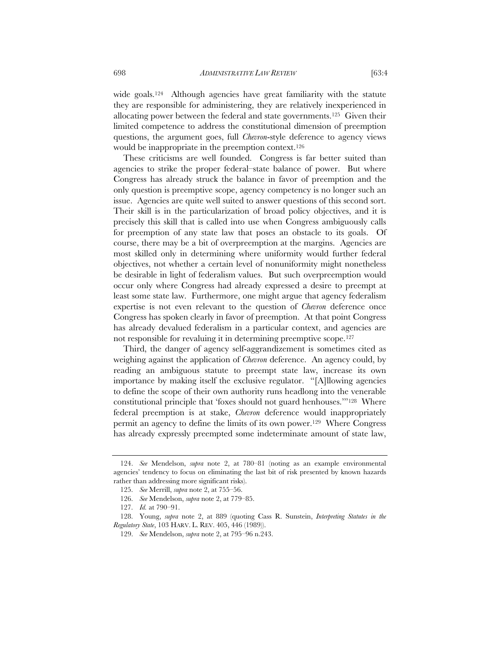wide goals.<sup>124</sup> Although agencies have great familiarity with the statute they are responsible for administering, they are relatively inexperienced in allocating power between the federal and state governments.125 Given their limited competence to address the constitutional dimension of preemption questions, the argument goes, full *Chevron*-style deference to agency views would be inappropriate in the preemption context.126

These criticisms are well founded. Congress is far better suited than agencies to strike the proper federal–state balance of power. But where Congress has already struck the balance in favor of preemption and the only question is preemptive scope, agency competency is no longer such an issue. Agencies are quite well suited to answer questions of this second sort. Their skill is in the particularization of broad policy objectives, and it is precisely this skill that is called into use when Congress ambiguously calls for preemption of any state law that poses an obstacle to its goals. Of course, there may be a bit of overpreemption at the margins. Agencies are most skilled only in determining where uniformity would further federal objectives, not whether a certain level of nonuniformity might nonetheless be desirable in light of federalism values. But such overpreemption would occur only where Congress had already expressed a desire to preempt at least some state law. Furthermore, one might argue that agency federalism expertise is not even relevant to the question of *Chevron* deference once Congress has spoken clearly in favor of preemption. At that point Congress has already devalued federalism in a particular context, and agencies are not responsible for revaluing it in determining preemptive scope.<sup>127</sup>

Third, the danger of agency self-aggrandizement is sometimes cited as weighing against the application of *Chevron* deference. An agency could, by reading an ambiguous statute to preempt state law, increase its own importance by making itself the exclusive regulator. "[A]llowing agencies to define the scope of their own authority runs headlong into the venerable constitutional principle that 'foxes should not guard henhouses.'"128 Where federal preemption is at stake, *Chevron* deference would inappropriately permit an agency to define the limits of its own power.129 Where Congress has already expressly preempted some indeterminate amount of state law,

 <sup>124.</sup> *See* Mendelson, *supra* note 2, at 780–81 (noting as an example environmental agencies' tendency to focus on eliminating the last bit of risk presented by known hazards rather than addressing more significant risks).

 <sup>125.</sup> *See* Merrill, *supra* note 2, at 755–56.

 <sup>126.</sup> *See* Mendelson, *supra* note 2, at 779–85.

 <sup>127.</sup> *Id.* at 790–91.

 <sup>128.</sup> Young, *supra* note 2, at 889 (quoting Cass R. Sunstein, *Interpreting Statutes in the Regulatory State*, 103 HARV. L. REV. 405, 446 (1989)).

 <sup>129.</sup> *See* Mendelson, *supra* note 2, at 795–96 n.243.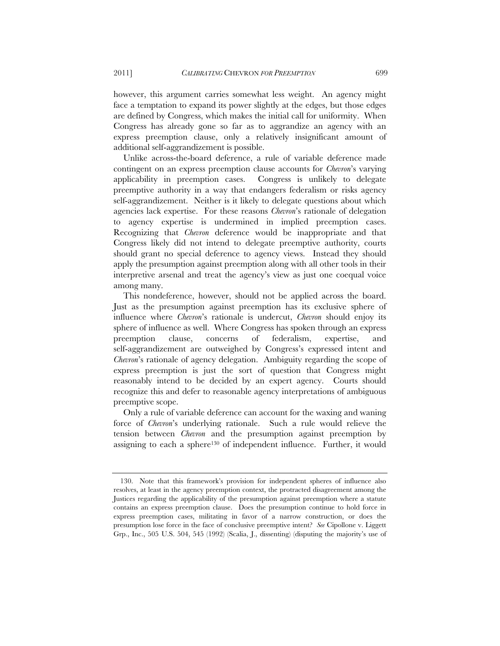however, this argument carries somewhat less weight. An agency might face a temptation to expand its power slightly at the edges, but those edges are defined by Congress, which makes the initial call for uniformity. When Congress has already gone so far as to aggrandize an agency with an express preemption clause, only a relatively insignificant amount of additional self-aggrandizement is possible.

Unlike across-the-board deference, a rule of variable deference made contingent on an express preemption clause accounts for *Chevron*'s varying applicability in preemption cases. Congress is unlikely to delegate preemptive authority in a way that endangers federalism or risks agency self-aggrandizement. Neither is it likely to delegate questions about which agencies lack expertise. For these reasons *Chevron*'s rationale of delegation to agency expertise is undermined in implied preemption cases. Recognizing that *Chevron* deference would be inappropriate and that Congress likely did not intend to delegate preemptive authority, courts should grant no special deference to agency views. Instead they should apply the presumption against preemption along with all other tools in their interpretive arsenal and treat the agency's view as just one coequal voice among many.

This nondeference, however, should not be applied across the board. Just as the presumption against preemption has its exclusive sphere of influence where *Chevron*'s rationale is undercut, *Chevron* should enjoy its sphere of influence as well. Where Congress has spoken through an express preemption clause, concerns of federalism, expertise, and self-aggrandizement are outweighed by Congress's expressed intent and *Chevron*'s rationale of agency delegation. Ambiguity regarding the scope of express preemption is just the sort of question that Congress might reasonably intend to be decided by an expert agency. Courts should recognize this and defer to reasonable agency interpretations of ambiguous preemptive scope.

Only a rule of variable deference can account for the waxing and waning force of *Chevron*'s underlying rationale. Such a rule would relieve the tension between *Chevron* and the presumption against preemption by assigning to each a sphere<sup>130</sup> of independent influence. Further, it would

 <sup>130.</sup> Note that this framework's provision for independent spheres of influence also resolves, at least in the agency preemption context, the protracted disagreement among the Justices regarding the applicability of the presumption against preemption where a statute contains an express preemption clause. Does the presumption continue to hold force in express preemption cases, militating in favor of a narrow construction, or does the presumption lose force in the face of conclusive preemptive intent? *See* Cipollone v. Liggett Grp., Inc., 505 U.S. 504, 545 (1992) (Scalia, J., dissenting) (disputing the majority's use of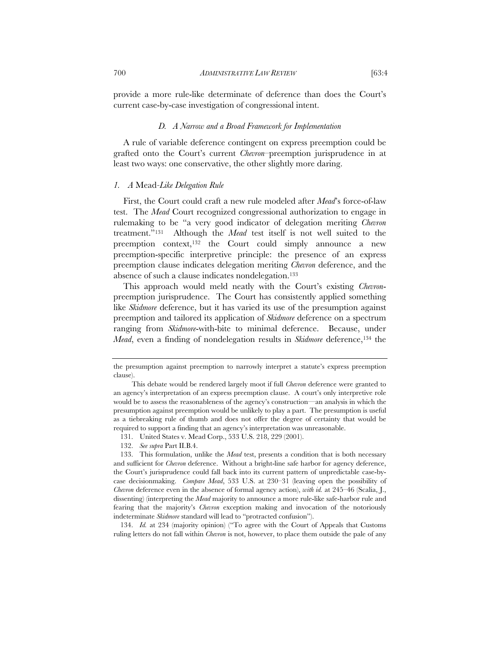provide a more rule-like determinate of deference than does the Court's current case-by-case investigation of congressional intent.

#### *D. A Narrow and a Broad Framework for Implementation*

A rule of variable deference contingent on express preemption could be grafted onto the Court's current *Chevron*–preemption jurisprudence in at least two ways: one conservative, the other slightly more daring.

#### *1. A* Mead*-Like Delegation Rule*

First, the Court could craft a new rule modeled after *Mead*'s force-of-law test. The *Mead* Court recognized congressional authorization to engage in rulemaking to be "a very good indicator of delegation meriting *Chevron* treatment."131 Although the *Mead* test itself is not well suited to the preemption context,<sup>132</sup> the Court could simply announce a new preemption-specific interpretive principle: the presence of an express preemption clause indicates delegation meriting *Chevron* deference, and the absence of such a clause indicates nondelegation.133

This approach would meld neatly with the Court's existing *Chevron*preemption jurisprudence. The Court has consistently applied something like *Skidmore* deference, but it has varied its use of the presumption against preemption and tailored its application of *Skidmore* deference on a spectrum ranging from *Skidmore*-with-bite to minimal deference. Because, under *Mead*, even a finding of nondelegation results in *Skidmore* deference,<sup>134</sup> the

 134. *Id.* at 234 (majority opinion) ("To agree with the Court of Appeals that Customs ruling letters do not fall within *Chevron* is not, however, to place them outside the pale of any

the presumption against preemption to narrowly interpret a statute's express preemption clause).

This debate would be rendered largely moot if full *Chevron* deference were granted to an agency's interpretation of an express preemption clause. A court's only interpretive role would be to assess the reasonableness of the agency's construction—an analysis in which the presumption against preemption would be unlikely to play a part. The presumption is useful as a tiebreaking rule of thumb and does not offer the degree of certainty that would be required to support a finding that an agency's interpretation was unreasonable.

<sup>131.</sup> United States v. Mead Corp., 533 U.S. 218, 229 (2001).

 <sup>132.</sup> *See supra* Part II.B.4.

<sup>133.</sup> This formulation, unlike the *Mead* test, presents a condition that is both necessary and sufficient for *Chevron* deference. Without a bright-line safe harbor for agency deference, the Court's jurisprudence could fall back into its current pattern of unpredictable case-bycase decisionmaking. *Compare Mead*, 533 U.S. at 230–31 (leaving open the possibility of *Chevron* deference even in the absence of formal agency action), *with id.* at 245–46 (Scalia, J., dissenting) (interpreting the *Mead* majority to announce a more rule-like safe-harbor rule and fearing that the majority's *Chevron* exception making and invocation of the notoriously indeterminate *Skidmore* standard will lead to "protracted confusion").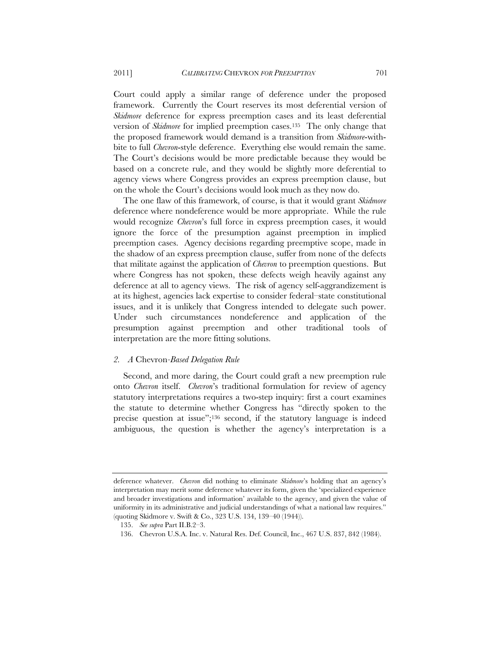Court could apply a similar range of deference under the proposed framework. Currently the Court reserves its most deferential version of *Skidmore* deference for express preemption cases and its least deferential version of *Skidmore* for implied preemption cases.135 The only change that the proposed framework would demand is a transition from *Skidmore*-withbite to full *Chevron*-style deference. Everything else would remain the same. The Court's decisions would be more predictable because they would be based on a concrete rule, and they would be slightly more deferential to agency views where Congress provides an express preemption clause, but on the whole the Court's decisions would look much as they now do.

The one flaw of this framework, of course, is that it would grant *Skidmore* deference where nondeference would be more appropriate. While the rule would recognize *Chevron*'s full force in express preemption cases, it would ignore the force of the presumption against preemption in implied preemption cases. Agency decisions regarding preemptive scope, made in the shadow of an express preemption clause, suffer from none of the defects that militate against the application of *Chevron* to preemption questions. But where Congress has not spoken, these defects weigh heavily against any deference at all to agency views. The risk of agency self-aggrandizement is at its highest, agencies lack expertise to consider federal–state constitutional issues, and it is unlikely that Congress intended to delegate such power. Under such circumstances nondeference and application of the presumption against preemption and other traditional tools of interpretation are the more fitting solutions.

#### *2. A* Chevron*-Based Delegation Rule*

Second, and more daring, the Court could graft a new preemption rule onto *Chevron* itself. *Chevron*'s traditional formulation for review of agency statutory interpretations requires a two-step inquiry: first a court examines the statute to determine whether Congress has "directly spoken to the precise question at issue";136 second, if the statutory language is indeed ambiguous, the question is whether the agency's interpretation is a

deference whatever. *Chevron* did nothing to eliminate *Skidmore*'s holding that an agency's interpretation may merit some deference whatever its form, given the 'specialized experience and broader investigations and information' available to the agency, and given the value of uniformity in its administrative and judicial understandings of what a national law requires." (quoting Skidmore v. Swift & Co., 323 U.S. 134, 139–40 (1944)).

 <sup>135.</sup> *See supra* Part II.B.2–3.

 <sup>136.</sup> Chevron U.S.A. Inc. v. Natural Res. Def. Council, Inc., 467 U.S. 837, 842 (1984).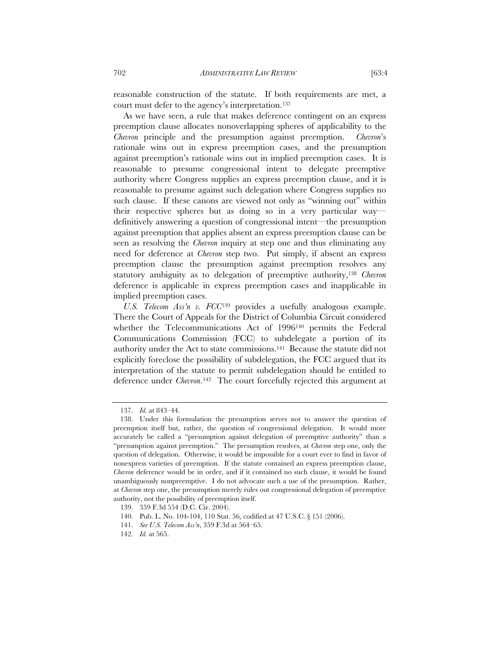reasonable construction of the statute. If both requirements are met, a court must defer to the agency's interpretation.137

As we have seen, a rule that makes deference contingent on an express preemption clause allocates nonoverlapping spheres of applicability to the *Chevron* principle and the presumption against preemption. *Chevron*'s rationale wins out in express preemption cases, and the presumption against preemption's rationale wins out in implied preemption cases. It is reasonable to presume congressional intent to delegate preemptive authority where Congress supplies an express preemption clause, and it is reasonable to presume against such delegation where Congress supplies no such clause. If these canons are viewed not only as "winning out" within their respective spheres but as doing so in a very particular way definitively answering a question of congressional intent—the presumption against preemption that applies absent an express preemption clause can be seen as resolving the *Chevron* inquiry at step one and thus eliminating any need for deference at *Chevron* step two. Put simply, if absent an express preemption clause the presumption against preemption resolves any statutory ambiguity as to delegation of preemptive authority,138 *Chevron* deference is applicable in express preemption cases and inapplicable in implied preemption cases.

*U.S. Telecom Ass'n v. FCC*139 provides a usefully analogous example. There the Court of Appeals for the District of Columbia Circuit considered whether the Telecommunications Act of 1996140 permits the Federal Communications Commission (FCC) to subdelegate a portion of its authority under the Act to state commissions.141 Because the statute did not explicitly foreclose the possibility of subdelegation, the FCC argued that its interpretation of the statute to permit subdelegation should be entitled to deference under *Chevron*.142 The court forcefully rejected this argument at

 <sup>137.</sup> *Id.* at 843–44.

 <sup>138.</sup> Under this formulation the presumption serves not to answer the question of preemption itself but, rather, the question of congressional delegation. It would more accurately be called a "presumption against delegation of preemptive authority" than a "presumption against preemption." The presumption resolves, at *Chevron* step one, only the question of delegation. Otherwise, it would be impossible for a court ever to find in favor of nonexpress varieties of preemption. If the statute contained an express preemption clause, *Chevron* deference would be in order, and if it contained no such clause, it would be found unambiguously nonpreemptive. I do not advocate such a use of the presumption. Rather, at *Chevron* step one, the presumption merely rules out congressional delegation of preemptive authority, not the possibility of preemption itself.

<sup>139. 359</sup> F.3d 554 (D.C. Cir. 2004).

<sup>140.</sup> Pub. L. No. 104-104, 110 Stat. 56, codified at 47 U.S.C. § 151 (2006).

 <sup>141.</sup> *See U.S. Telecom Ass'n*, 359 F.3d at 564–65.

 <sup>142.</sup> *Id.* at 565.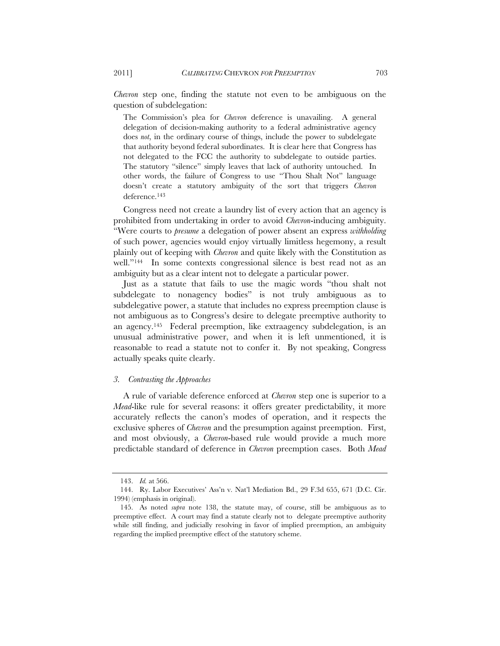*Chevron* step one, finding the statute not even to be ambiguous on the question of subdelegation:

The Commission's plea for *Chevron* deference is unavailing. A general delegation of decision-making authority to a federal administrative agency does *not*, in the ordinary course of things, include the power to subdelegate that authority beyond federal subordinates. It is clear here that Congress has not delegated to the FCC the authority to subdelegate to outside parties. The statutory "silence" simply leaves that lack of authority untouched. In other words, the failure of Congress to use "Thou Shalt Not" language doesn't create a statutory ambiguity of the sort that triggers *Chevron* deference.143

Congress need not create a laundry list of every action that an agency is prohibited from undertaking in order to avoid *Chevron*-inducing ambiguity. "Were courts to *presume* a delegation of power absent an express *withholding* of such power, agencies would enjoy virtually limitless hegemony, a result plainly out of keeping with *Chevron* and quite likely with the Constitution as well."144 In some contexts congressional silence is best read not as an ambiguity but as a clear intent not to delegate a particular power.

Just as a statute that fails to use the magic words "thou shalt not subdelegate to nonagency bodies" is not truly ambiguous as to subdelegative power, a statute that includes no express preemption clause is not ambiguous as to Congress's desire to delegate preemptive authority to an agency.145 Federal preemption, like extraagency subdelegation, is an unusual administrative power, and when it is left unmentioned, it is reasonable to read a statute not to confer it. By not speaking, Congress actually speaks quite clearly.

#### *3. Contrasting the Approaches*

A rule of variable deference enforced at *Chevron* step one is superior to a *Mead*-like rule for several reasons: it offers greater predictability, it more accurately reflects the canon's modes of operation, and it respects the exclusive spheres of *Chevron* and the presumption against preemption. First, and most obviously, a *Chevron*-based rule would provide a much more predictable standard of deference in *Chevron* preemption cases. Both *Mead*

 <sup>143.</sup> *Id.* at 566.

 <sup>144.</sup> Ry. Labor Executives' Ass'n v. Nat'l Mediation Bd., 29 F.3d 655, 671 (D.C. Cir. 1994) (emphasis in original).

 <sup>145.</sup> As noted *supra* note 138, the statute may, of course, still be ambiguous as to preemptive effect. A court may find a statute clearly not to delegate preemptive authority while still finding, and judicially resolving in favor of implied preemption, an ambiguity regarding the implied preemptive effect of the statutory scheme.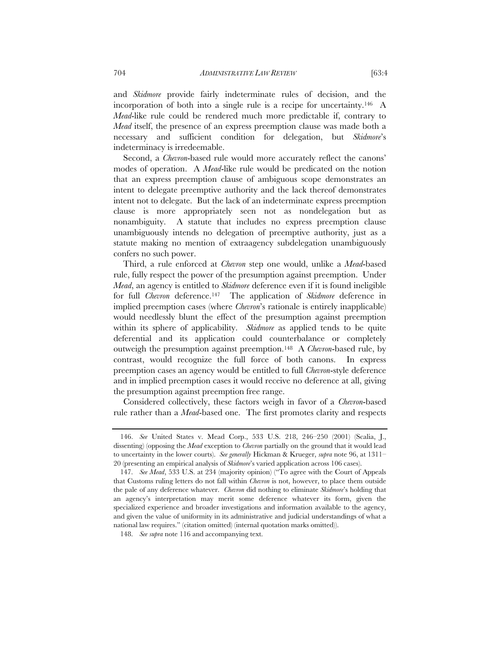and *Skidmore* provide fairly indeterminate rules of decision, and the incorporation of both into a single rule is a recipe for uncertainty.146 A *Mead*-like rule could be rendered much more predictable if, contrary to *Mead* itself, the presence of an express preemption clause was made both a necessary and sufficient condition for delegation, but *Skidmore*'s indeterminacy is irredeemable.

Second, a *Chevron*-based rule would more accurately reflect the canons' modes of operation. A *Mead*-like rule would be predicated on the notion that an express preemption clause of ambiguous scope demonstrates an intent to delegate preemptive authority and the lack thereof demonstrates intent not to delegate. But the lack of an indeterminate express preemption clause is more appropriately seen not as nondelegation but as nonambiguity. A statute that includes no express preemption clause unambiguously intends no delegation of preemptive authority, just as a statute making no mention of extraagency subdelegation unambiguously confers no such power.

Third, a rule enforced at *Chevron* step one would, unlike a *Mead*-based rule, fully respect the power of the presumption against preemption. Under *Mead*, an agency is entitled to *Skidmore* deference even if it is found ineligible for full *Chevron* deference.147 The application of *Skidmore* deference in implied preemption cases (where *Chevron*'s rationale is entirely inapplicable) would needlessly blunt the effect of the presumption against preemption within its sphere of applicability. *Skidmore* as applied tends to be quite deferential and its application could counterbalance or completely outweigh the presumption against preemption.148 A *Chevron*-based rule, by contrast, would recognize the full force of both canons. In express preemption cases an agency would be entitled to full *Chevron*-style deference and in implied preemption cases it would receive no deference at all, giving the presumption against preemption free range.

Considered collectively, these factors weigh in favor of a *Chevron*-based rule rather than a *Mead*-based one. The first promotes clarity and respects

 <sup>146.</sup> *See* United States v. Mead Corp., 533 U.S. 218, 246–250 (2001) (Scalia, J., dissenting) (opposing the *Mead* exception to *Chevron* partially on the ground that it would lead to uncertainty in the lower courts). *See generally* Hickman & Krueger, *supra* note 96, at 1311– 20 (presenting an empirical analysis of *Skidmore*'s varied application across 106 cases).

 <sup>147.</sup> *See Mead*, 533 U.S. at 234 (majority opinion) ("To agree with the Court of Appeals that Customs ruling letters do not fall within *Chevron* is not, however, to place them outside the pale of any deference whatever. *Chevron* did nothing to eliminate *Skidmore*'s holding that an agency's interpretation may merit some deference whatever its form, given the specialized experience and broader investigations and information available to the agency, and given the value of uniformity in its administrative and judicial understandings of what a national law requires." (citation omitted) (internal quotation marks omitted)).

 <sup>148.</sup> *See supra* note 116 and accompanying text.